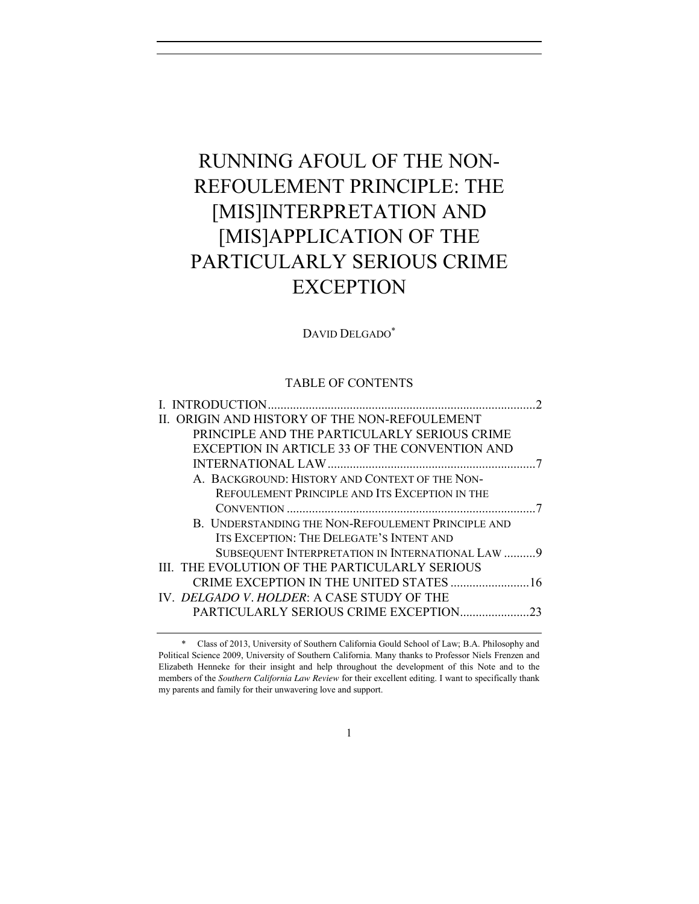# RUNNING AFOUL OF THE NON-REFOULEMENT PRINCIPLE: THE [MIS]INTERPRETATION AND [MIS]APPLICATION OF THE PARTICULARLY SERIOUS CRIME **EXCEPTION**

## DAVID DELGADO\*

## TABLE OF CONTENTS

| II. ORIGIN AND HISTORY OF THE NON-REFOULEMENT      |    |
|----------------------------------------------------|----|
| PRINCIPLE AND THE PARTICULARLY SERIOUS CRIME       |    |
| EXCEPTION IN ARTICLE 33 OF THE CONVENTION AND      |    |
|                                                    |    |
| A. BACKGROUND: HISTORY AND CONTEXT OF THE NON-     |    |
| REFOULEMENT PRINCIPLE AND ITS EXCEPTION IN THE     |    |
|                                                    |    |
| B. UNDERSTANDING THE NON-REFOULEMENT PRINCIPLE AND |    |
| ITS EXCEPTION: THE DELEGATE'S INTENT AND           |    |
| SUBSEQUENT INTERPRETATION IN INTERNATIONAL LAW  9  |    |
| III. THE EVOLUTION OF THE PARTICULARLY SERIOUS     |    |
|                                                    |    |
| IV. DELGADO V. HOLDER: A CASE STUDY OF THE         |    |
| PARTICULARLY SERIOUS CRIME EXCEPTION               | 23 |
|                                                    |    |

<sup>\*</sup> Class of 2013, University of Southern California Gould School of Law; B.A. Philosophy and Political Science 2009, University of Southern California. Many thanks to Professor Niels Frenzen and Elizabeth Henneke for their insight and help throughout the development of this Note and to the members of the *Southern California Law Review* for their excellent editing. I want to specifically thank my parents and family for their unwavering love and support.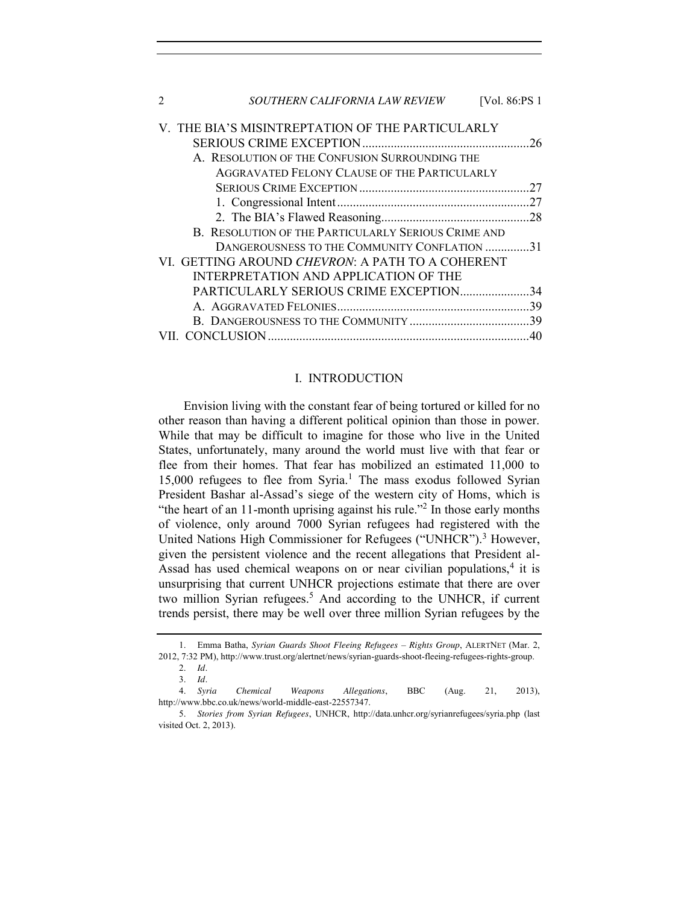| SOUTHERN CALIFORNIA LAW REVIEW<br>2                 | [Vol. 86:PS 1 |
|-----------------------------------------------------|---------------|
| V. THE BIA'S MISINTREPTATION OF THE PARTICULARLY    |               |
|                                                     | 26            |
| A. RESOLUTION OF THE CONFUSION SURROUNDING THE      |               |
| AGGRAVATED FELONY CLAUSE OF THE PARTICULARLY        |               |
|                                                     | 27            |
|                                                     | 27            |
|                                                     | .28           |
| B. RESOLUTION OF THE PARTICULARLY SERIOUS CRIME AND |               |
| DANGEROUSNESS TO THE COMMUNITY CONFLATION 31        |               |
| VI. GETTING AROUND CHEVRON: A PATH TO A COHERENT    |               |
| INTERPRETATION AND APPLICATION OF THE               |               |
| PARTICULARLY SERIOUS CRIME EXCEPTION                | 34            |
|                                                     |               |
|                                                     |               |
|                                                     | 40            |

#### <span id="page-1-1"></span>I. INTRODUCTION

<span id="page-1-0"></span>Envision living with the constant fear of being tortured or killed for no other reason than having a different political opinion than those in power. While that may be difficult to imagine for those who live in the United States, unfortunately, many around the world must live with that fear or flee from their homes. That fear has mobilized an estimated 11,000 to 15,000 refugees to flee from Syria.<sup>1</sup> The mass exodus followed Syrian President Bashar al-Assad's siege of the western city of Homs, which is "the heart of an 11-month uprising against his rule."<sup>2</sup> In those early months of violence, only around 7000 Syrian refugees had registered with the United Nations High Commissioner for Refugees ("UNHCR").<sup>3</sup> However, given the persistent violence and the recent allegations that President al-Assad has used chemical weapons on or near civilian populations, $4$  it is unsurprising that current UNHCR projections estimate that there are over two million Syrian refugees.<sup>5</sup> And according to the UNHCR, if current trends persist, there may be well over three million Syrian refugees by the

<sup>1.</sup> Emma Batha, *Syrian Guards Shoot Fleeing Refugees – Rights Group*, ALERTNET (Mar. 2, 2012, 7:32 PM), http://www.trust.org/alertnet/news/syrian-guards-shoot-fleeing-refugees-rights-group. 2. *Id.*

<sup>3.</sup> *Id.*

<sup>4.</sup> *Syria Chemical Weapons Allegations*, BBC (Aug. 21, 2013), http://www.bbc.co.uk/news/world-middle-east-22557347.

<sup>5.</sup> *Stories from Syrian Refugees*, UNHCR, http://data.unhcr.org/syrianrefugees/syria.php (last visited Oct. 2, 2013).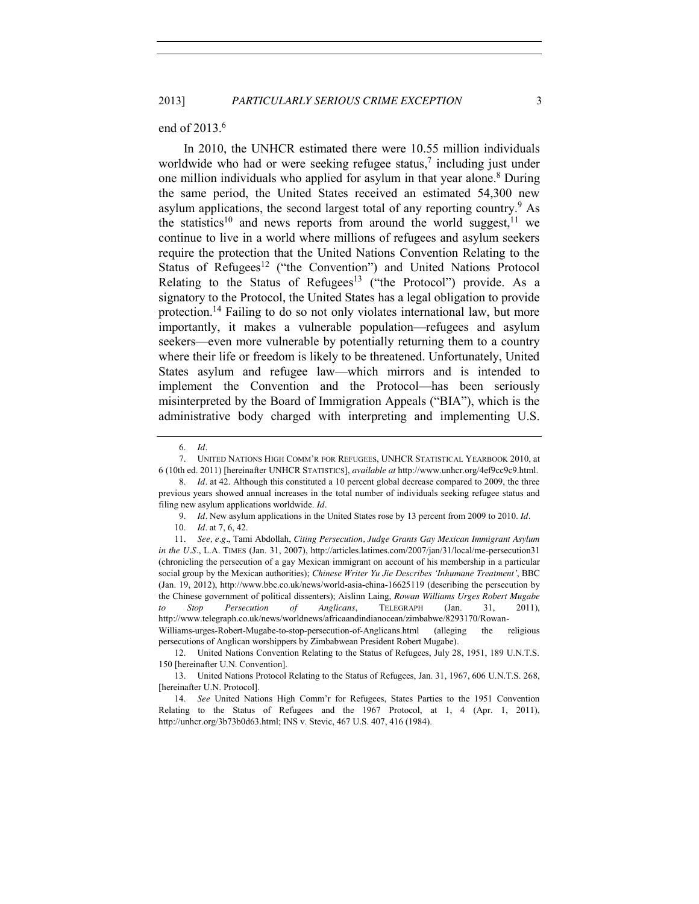#### end of 2013.<sup>6</sup>

<span id="page-2-2"></span><span id="page-2-1"></span>In 2010, the UNHCR estimated there were 10.55 million individuals worldwide who had or were seeking refugee status,<sup>7</sup> including just under one million individuals who applied for asylum in that year alone. <sup>8</sup> During the same period, the United States received an estimated 54,300 new asylum applications, the second largest total of any reporting country.<sup>9</sup> As the statistics<sup>10</sup> and news reports from around the world suggest, <sup>11</sup> we continue to live in a world where millions of refugees and asylum seekers require the protection that the United Nations Convention Relating to the Status of Refugees<sup>12</sup> ("the Convention") and United Nations Protocol Relating to the Status of Refugees<sup>13</sup> ("the Protocol") provide. As a signatory to the Protocol, the United States has a legal obligation to provide protection.<sup>14</sup> Failing to do so not only violates international law, but more importantly, it makes a vulnerable population—refugees and asylum seekers—even more vulnerable by potentially returning them to a country where their life or freedom is likely to be threatened. Unfortunately, United States asylum and refugee law—which mirrors and is intended to implement the Convention and the Protocol—has been seriously misinterpreted by the Board of Immigration Appeals ("BIA"), which is the administrative body charged with interpreting and implementing U.S.

12. United Nations Convention Relating to the Status of Refugees, July 28, 1951, 189 U.N.T.S. 150 [hereinafter U.N. Convention].

13. United Nations Protocol Relating to the Status of Refugees, Jan. 31, 1967, 606 U.N.T.S. 268, [hereinafter U.N. Protocol].

14. *See* United Nations High Comm'r for Refugees, States Parties to the 1951 Convention Relating to the Status of Refugees and the 1967 Protocol, at 1, 4 (Apr. 1, 2011), http://unhcr.org/3b73b0d63.html; INS v. Stevic, 467 U.S. 407, 416 (1984).

<span id="page-2-0"></span>

<sup>6.</sup> *Id.*

<sup>7.</sup> UNITED NATIONS HIGH COMM'R FOR REFUGEES, UNHCR STATISTICAL YEARBOOK 2010, at 6 (10th ed. 2011) [hereinafter UNHCR STATISTICS], *available at* http://www.unhcr.org/4ef9cc9c9.html.

<sup>8.</sup> *Id.* at 42. Although this constituted a 10 percent global decrease compared to 2009, the three previous years showed annual increases in the total number of individuals seeking refugee status and filing new asylum applications worldwide. *Id.*

<sup>9.</sup> *Id.* New asylum applications in the United States rose by 13 percent from 2009 to 2010. *Id.*

<sup>10.</sup> *Id.* at [7,](#page-2-0) 6, 42.

<sup>11.</sup> *See, e.g.*, Tami Abdollah, *Citing Persecution, Judge Grants Gay Mexican Immigrant Asylum in the U.S.*, L.A. TIMES (Jan. 31, 2007), http://articles.latimes.com/2007/jan/31/local/me-persecution31 (chronicling the persecution of a gay Mexican immigrant on account of his membership in a particular social group by the Mexican authorities); *Chinese Writer Yu Jie Describes 'Inhumane Treatment'*, BBC (Jan. 19, 2012), http://www.bbc.co.uk/news/world-asia-china-16625119 (describing the persecution by the Chinese government of political dissenters); Aislinn Laing, *Rowan Williams Urges Robert Mugabe to Stop Persecution of Anglicans*, TELEGRAPH (Jan. 31, 2011), http://www.telegraph.co.uk/news/worldnews/africaandindianocean/zimbabwe/8293170/Rowan-Williams-urges-Robert-Mugabe-to-stop-persecution-of-Anglicans.html (alleging the religious persecutions of Anglican worshippers by Zimbabwean President Robert Mugabe).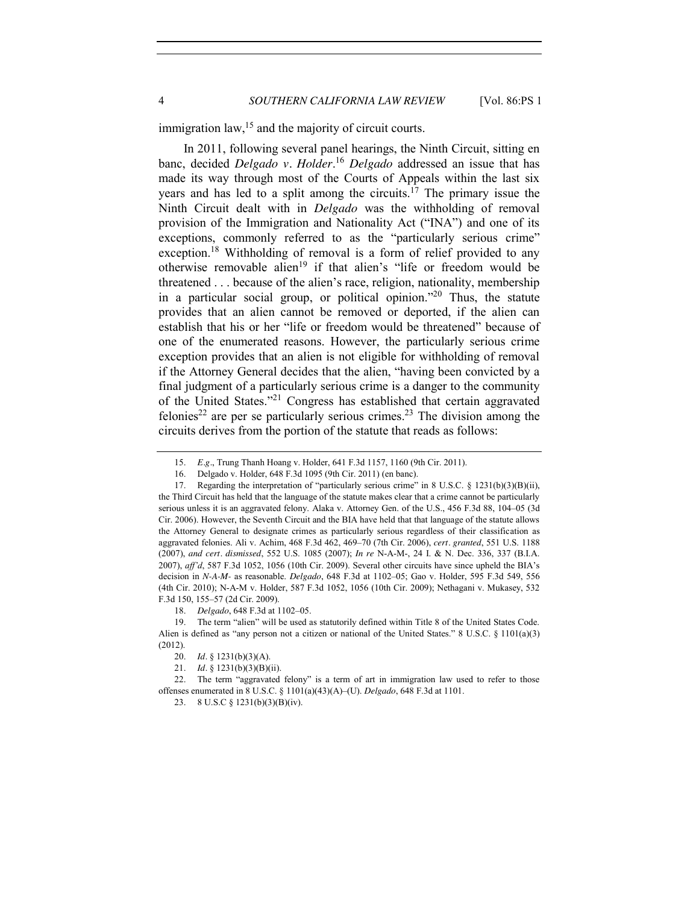4 *SOUTHERN CALIFORNIA LAW REVIEW* [Vol. 86:PS 1

immigration law,  $15$  and the majority of circuit courts.

In 2011, following several panel hearings, the Ninth Circuit, sitting en banc, decided *Delgado v. Holder*. <sup>16</sup> *Delgado* addressed an issue that has made its way through most of the Courts of Appeals within the last six years and has led to a split among the circuits.17 The primary issue the Ninth Circuit dealt with in *Delgado* was the withholding of removal provision of the Immigration and Nationality Act ("INA") and one of its exceptions, commonly referred to as the "particularly serious crime" exception.<sup>18</sup> Withholding of removal is a form of relief provided to any otherwise removable alien<sup>19</sup> if that alien's "life or freedom would be threatened . . . because of the alien's race, religion, nationality, membership in a particular social group, or political opinion."<sup>20</sup> Thus, the statute provides that an alien cannot be removed or deported, if the alien can establish that his or her "life or freedom would be threatened" because of one of the enumerated reasons. However, the particularly serious crime exception provides that an alien is not eligible for withholding of removal if the Attorney General decides that the alien, "having been convicted by a final judgment of a particularly serious crime is a danger to the community of the United States."<sup>21</sup> Congress has established that certain aggravated felonies<sup>22</sup> are per se particularly serious crimes.<sup>23</sup> The division among the circuits derives from the portion of the statute that reads as follows:

<sup>15.</sup> *E.g.*, Trung Thanh Hoang v. Holder, 641 F.3d 1157, 1160 (9th Cir. 2011).

<sup>16.</sup> Delgado v. Holder, 648 F.3d 1095 (9th Cir. 2011) (en banc).

<sup>17.</sup> Regarding the interpretation of "particularly serious crime" in 8 U.S.C. § 1231(b)(3)(B)(ii), the Third Circuit has held that the language of the statute makes clear that a crime cannot be particularly serious unless it is an aggravated felony. Alaka v. Attorney Gen. of the U.S., 456 F.3d 88, 104–05 (3d Cir. 2006). However, the Seventh Circuit and the BIA have held that that language of the statute allows the Attorney General to designate crimes as particularly serious regardless of their classification as aggravated felonies. Ali v. Achim, 468 F.3d 462, 469–70 (7th Cir. 2006), *cert. granted*, 551 U.S. 1188 (2007), *and cert. dismissed*, 552 U.S. 1085 (2007); *In re* N-A-M-, 24 I. & N. Dec. 336, 337 (B.I.A. 2007), *aff'd*, 587 F.3d 1052, 1056 (10th Cir. 2009). Several other circuits have since upheld the BIA's decision in *N-A-M-* as reasonable. *Delgado*, 648 F.3d at 1102–05; Gao v. Holder, 595 F.3d 549, 556 (4th Cir. 2010); N-A-M v. Holder, 587 F.3d 1052, 1056 (10th Cir. 2009); Nethagani v. Mukasey, 532 F.3d 150, 155–57 (2d Cir. 2009).

<sup>18.</sup> *Delgado*, 648 F.3d at 1102–05.

<sup>19.</sup> The term "alien" will be used as statutorily defined within Title 8 of the United States Code. Alien is defined as "any person not a citizen or national of the United States." 8 U.S.C. § 1101(a)(3) (2012).

<sup>20.</sup> *Id.* § 1231(b)(3)(A).

<sup>21.</sup> *Id.* § 1231(b)(3)(B)(ii).

<sup>22.</sup> The term "aggravated felony" is a term of art in immigration law used to refer to those offenses enumerated in 8 U.S.C. § 1101(a)(43)(A)–(U). *Delgado*, 648 F.3d at 1101.

<sup>23.</sup> 8 U.S.C § 1231(b)(3)(B)(iv).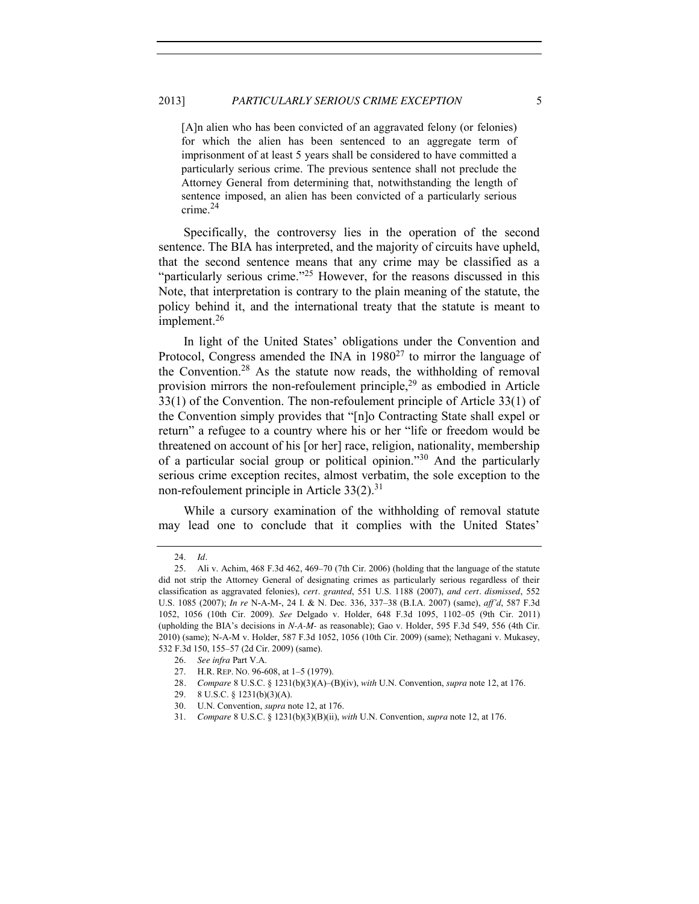#### 2013] *PARTICULARLY SERIOUS CRIME EXCEPTION* 5

[A]n alien who has been convicted of an aggravated felony (or felonies) for which the alien has been sentenced to an aggregate term of imprisonment of at least 5 years shall be considered to have committed a particularly serious crime. The previous sentence shall not preclude the Attorney General from determining that, notwithstanding the length of sentence imposed, an alien has been convicted of a particularly serious crime.<sup>24</sup>

Specifically, the controversy lies in the operation of the second sentence. The BIA has interpreted, and the majority of circuits have upheld, that the second sentence means that any crime may be classified as a "particularly serious crime."<sup>25</sup> However, for the reasons discussed in this Note, that interpretation is contrary to the plain meaning of the statute, the policy behind it, and the international treaty that the statute is meant to implement.<sup>26</sup>

In light of the United States' obligations under the Convention and Protocol, Congress amended the INA in  $1980^{27}$  to mirror the language of the Convention.<sup>28</sup> As the statute now reads, the withholding of removal provision mirrors the non-refoulement principle, $2<sup>9</sup>$  as embodied in Article 33(1) of the Convention. The non-refoulement principle of Article 33(1) of the Convention simply provides that "[n]o Contracting State shall expel or return" a refugee to a country where his or her "life or freedom would be threatened on account of his [or her] race, religion, nationality, membership of a particular social group or political opinion."<sup>30</sup> And the particularly serious crime exception recites, almost verbatim, the sole exception to the non-refoulement principle in Article  $33(2).^{31}$ 

While a cursory examination of the withholding of removal statute may lead one to conclude that it complies with the United States'

<sup>24.</sup> *Id.*

<sup>25.</sup> Ali v. Achim, 468 F.3d 462, 469–70 (7th Cir. 2006) (holding that the language of the statute did not strip the Attorney General of designating crimes as particularly serious regardless of their classification as aggravated felonies), *cert. granted*, 551 U.S. 1188 (2007), *and cert. dismissed*, 552 U.S. 1085 (2007); *In re* N-A-M-, 24 I. & N. Dec. 336, 337–38 (B.I.A. 2007) (same), *aff'd*, 587 F.3d 1052, 1056 (10th Cir. 2009). *See* Delgado v. Holder, 648 F.3d 1095, 1102–05 (9th Cir. 2011) (upholding the BIA's decisions in *N-A-M-* as reasonable); Gao v. Holder, 595 F.3d 549, 556 (4th Cir. 2010) (same); N-A-M v. Holder, 587 F.3d 1052, 1056 (10th Cir. 2009) (same); Nethagani v. Mukasey, 532 F.3d 150, 155–57 (2d Cir. 2009) (same).

<sup>26.</sup> *See infra* Part V.A.

<sup>27.</sup> H.R. REP. NO. 96-608, at 1–5 (1979).

<sup>28</sup>*. Compare* 8 U.S.C. § 1231(b)(3)(A)–(B)(iv), *with* U.N. Convention, *supra* note [12,](#page-2-1) at 176.

<sup>29.</sup> 8 U.S.C. § 1231(b)(3)(A).

<sup>30.</sup> U.N. Convention, *supra* not[e 12,](#page-2-1) at 176.

<sup>31.</sup> *Compare* 8 U.S.C. § 1231(b)(3)(B)(ii), *with* U.N. Convention, *supra* not[e 12,](#page-2-1) at 176.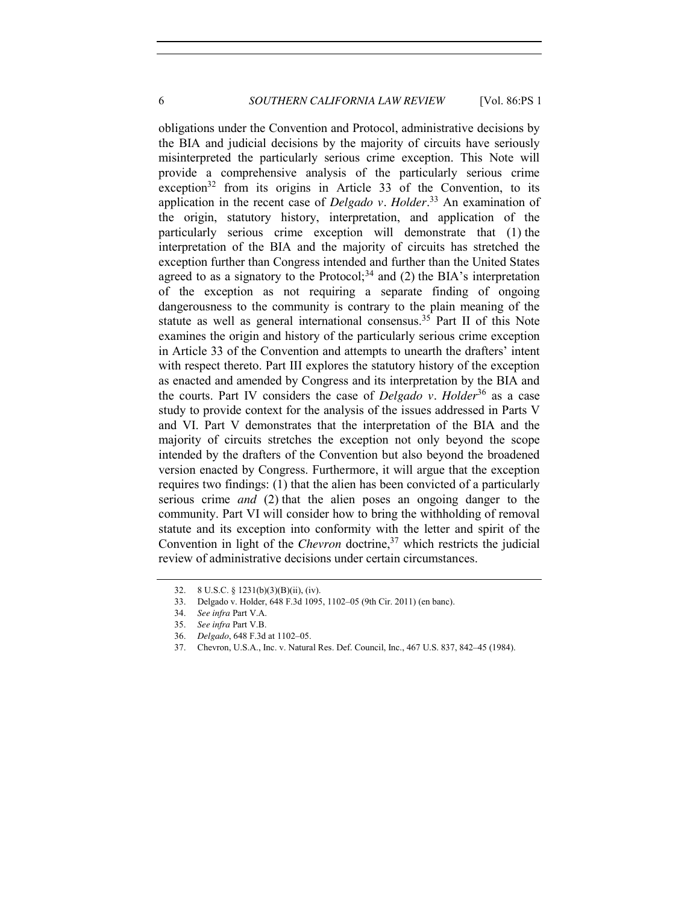obligations under the Convention and Protocol, administrative decisions by the BIA and judicial decisions by the majority of circuits have seriously misinterpreted the particularly serious crime exception. This Note will provide a comprehensive analysis of the particularly serious crime exception $32$  from its origins in Article 33 of the Convention, to its application in the recent case of *Delgado v. Holder*. <sup>33</sup> An examination of the origin, statutory history, interpretation, and application of the particularly serious crime exception will demonstrate that (1) the interpretation of the BIA and the majority of circuits has stretched the exception further than Congress intended and further than the United States agreed to as a signatory to the Protocol;<sup>34</sup> and (2) the BIA's interpretation of the exception as not requiring a separate finding of ongoing dangerousness to the community is contrary to the plain meaning of the statute as well as general international consensus.<sup>35</sup> Part II of this Note examines the origin and history of the particularly serious crime exception in Article 33 of the Convention and attempts to unearth the drafters' intent with respect thereto. Part III explores the statutory history of the exception as enacted and amended by Congress and its interpretation by the BIA and the courts. Part IV considers the case of *Delgado v. Holder*<sup>36</sup> as a case study to provide context for the analysis of the issues addressed in Parts V and VI. Part V demonstrates that the interpretation of the BIA and the majority of circuits stretches the exception not only beyond the scope intended by the drafters of the Convention but also beyond the broadened version enacted by Congress. Furthermore, it will argue that the exception requires two findings: (1) that the alien has been convicted of a particularly serious crime *and* (2) that the alien poses an ongoing danger to the community. Part VI will consider how to bring the withholding of removal statute and its exception into conformity with the letter and spirit of the Convention in light of the *Chevron* doctrine,<sup>37</sup> which restricts the judicial review of administrative decisions under certain circumstances.

<sup>32.</sup> 8 U.S.C. § 1231(b)(3)(B)(ii), (iv).

<sup>33.</sup> Delgado v. Holder, 648 F.3d 1095, 1102–05 (9th Cir. 2011) (en banc).

<sup>34.</sup> *See infra* Part V.A.

<sup>35.</sup> *See infra* Part V.B.

<sup>36.</sup> *Delgado*, 648 F.3d at 1102–05.

<sup>37.</sup> Chevron, U.S.A., Inc. v. Natural Res. Def. Council, Inc., 467 U.S. 837, 842–45 (1984).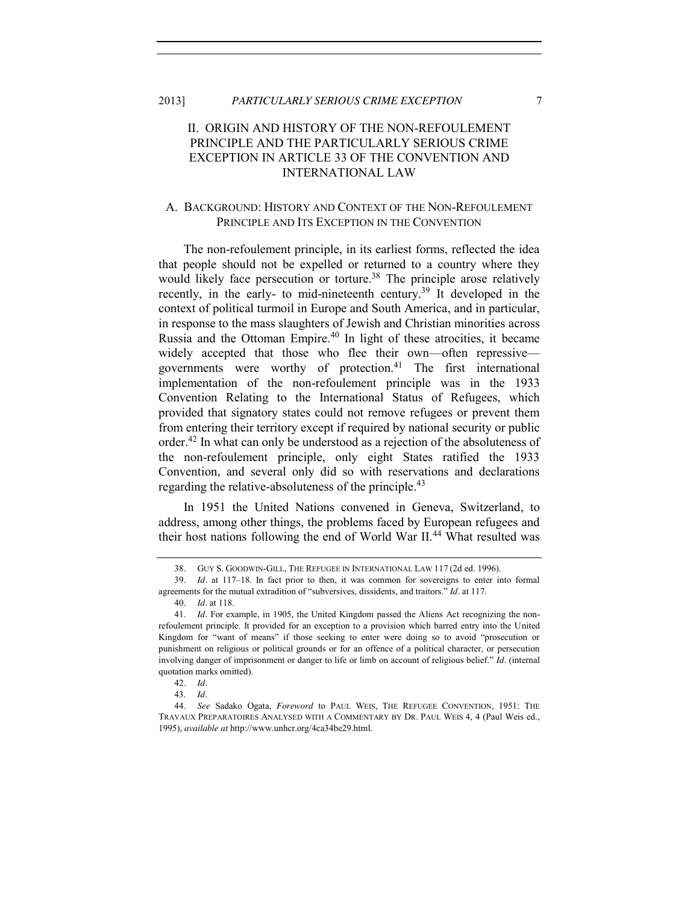<span id="page-6-0"></span>2013] *PARTICULARLY SERIOUS CRIME EXCEPTION* 7

# II. ORIGIN AND HISTORY OF THE NON-REFOULEMENT PRINCIPLE AND THE PARTICULARLY SERIOUS CRIME EXCEPTION IN ARTICLE 33 OF THE CONVENTION AND INTERNATIONAL LAW

## <span id="page-6-1"></span>A. BACKGROUND: HISTORY AND CONTEXT OF THE NON-REFOULEMENT PRINCIPLE AND ITS EXCEPTION IN THE CONVENTION

<span id="page-6-2"></span>The non-refoulement principle, in its earliest forms, reflected the idea that people should not be expelled or returned to a country where they would likely face persecution or torture.<sup>38</sup> The principle arose relatively recently, in the early- to mid-nineteenth century.<sup>39</sup> It developed in the context of political turmoil in Europe and South America, and in particular, in response to the mass slaughters of Jewish and Christian minorities across Russia and the Ottoman Empire.<sup>40</sup> In light of these atrocities, it became widely accepted that those who flee their own—often repressive governments were worthy of protection.<sup>41</sup> The first international implementation of the non-refoulement principle was in the 1933 Convention Relating to the International Status of Refugees, which provided that signatory states could not remove refugees or prevent them from entering their territory except if required by national security or public order.42 In what can only be understood as a rejection of the absoluteness of the non-refoulement principle, only eight States ratified the 1933 Convention, and several only did so with reservations and declarations regarding the relative-absoluteness of the principle.<sup>43</sup>

In 1951 the United Nations convened in Geneva, Switzerland, to address, among other things, the problems faced by European refugees and their host nations following the end of World War II.<sup>44</sup> What resulted was

<span id="page-6-3"></span><sup>38.</sup> GUY S. GOODWIN-GILL, THE REFUGEE IN INTERNATIONAL LAW 117 (2d ed. 1996).

<sup>39.</sup> *Id.* at 117–18. In fact prior to then, it was common for sovereigns to enter into formal agreements for the mutual extradition of "subversives, dissidents, and traitors." *Id.* at 117.

<sup>40.</sup> *Id.* at 118.

<sup>41.</sup> *Id.* For example, in 1905, the United Kingdom passed the Aliens Act recognizing the nonrefoulement principle. It provided for an exception to a provision which barred entry into the United Kingdom for "want of means" if those seeking to enter were doing so to avoid "prosecution or punishment on religious or political grounds or for an offence of a political character, or persecution involving danger of imprisonment or danger to life or limb on account of religious belief." *Id.* (internal quotation marks omitted).

<sup>42.</sup> *Id.*

<sup>43.</sup> *Id.*

<sup>44.</sup> *See* Sadako Ogata, *Foreword* to PAUL WEIS, THE REFUGEE CONVENTION, 1951: THE TRAVAUX PREPARATOIRES ANALYSED WITH A COMMENTARY BY DR. PAUL WEIS 4, 4 (Paul Weis ed., 1995), *available at* http://www.unhcr.org/4ca34be29.html.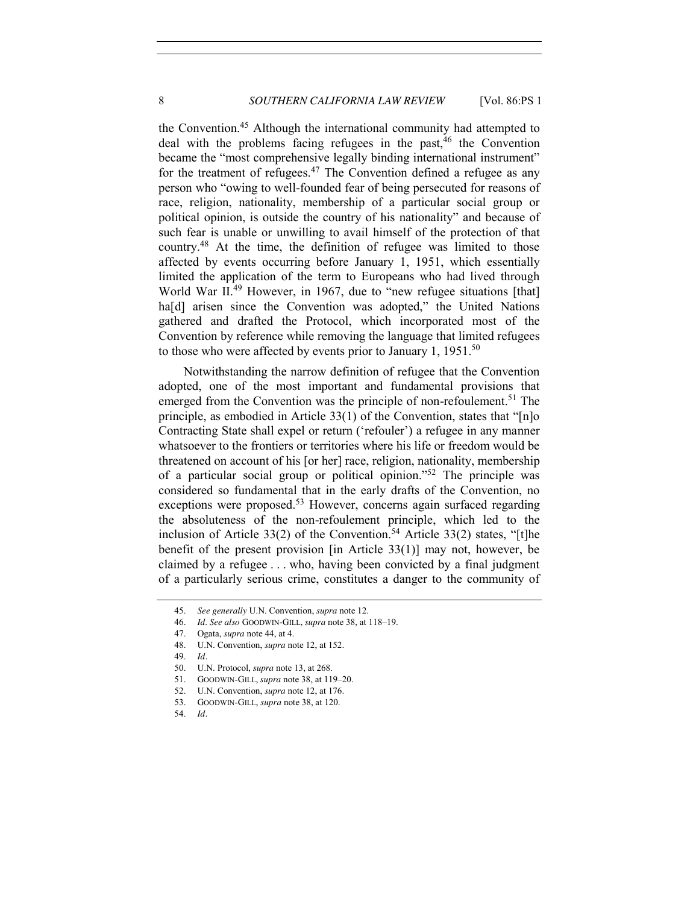the Convention.45 Although the international community had attempted to deal with the problems facing refugees in the past,  $46$  the Convention became the "most comprehensive legally binding international instrument" for the treatment of refugees. $47$  The Convention defined a refugee as any person who "owing to well-founded fear of being persecuted for reasons of race, religion, nationality, membership of a particular social group or political opinion, is outside the country of his nationality" and because of such fear is unable or unwilling to avail himself of the protection of that country.<sup>48</sup> At the time, the definition of refugee was limited to those affected by events occurring before January 1, 1951, which essentially limited the application of the term to Europeans who had lived through World War II<sup>.49</sup> However, in 1967, due to "new refugee situations [that] ha<sup>[d]</sup> arisen since the Convention was adopted," the United Nations gathered and drafted the Protocol, which incorporated most of the Convention by reference while removing the language that limited refugees to those who were affected by events prior to January 1,  $1951$ <sup>50</sup>

Notwithstanding the narrow definition of refugee that the Convention adopted, one of the most important and fundamental provisions that emerged from the Convention was the principle of non-refoulement.<sup>51</sup> The principle, as embodied in Article 33(1) of the Convention, states that "[n]o Contracting State shall expel or return ('refouler') a refugee in any manner whatsoever to the frontiers or territories where his life or freedom would be threatened on account of his [or her] race, religion, nationality, membership of a particular social group or political opinion."<sup>52</sup> The principle was considered so fundamental that in the early drafts of the Convention, no exceptions were proposed.<sup>53</sup> However, concerns again surfaced regarding the absoluteness of the non-refoulement principle, which led to the inclusion of Article 33(2) of the Convention.<sup>54</sup> Article 33(2) states, "[t]he benefit of the present provision [in Article 33(1)] may not, however, be claimed by a refugee . . . who, having been convicted by a final judgment of a particularly serious crime, constitutes a danger to the community of

<sup>45.</sup> *See generally* U.N. Convention, *supra* not[e 12.](#page-2-1)

<sup>46.</sup> *Id*. *See also* GOODWIN-GILL, *supra* not[e 38,](#page-6-2) at 118–19.

<sup>47.</sup> Ogata, *supra* not[e 44,](#page-6-3) at 4.

<sup>48.</sup> U.N. Convention, *supra* not[e 12,](#page-2-1) at 152.

<sup>49.</sup> *Id.*

<sup>50.</sup> U.N. Protocol, *supra* not[e 13,](#page-2-2) at 268.

<sup>51.</sup> GOODWIN-GILL, *supra* not[e 38,](#page-6-2) at 119–20.

<sup>52.</sup> U.N. Convention, *supra* not[e 12,](#page-2-1) at 176.

<sup>53.</sup> GOODWIN-GILL, *supra* not[e 38,](#page-6-2) at 120.

<sup>54.</sup> *Id.*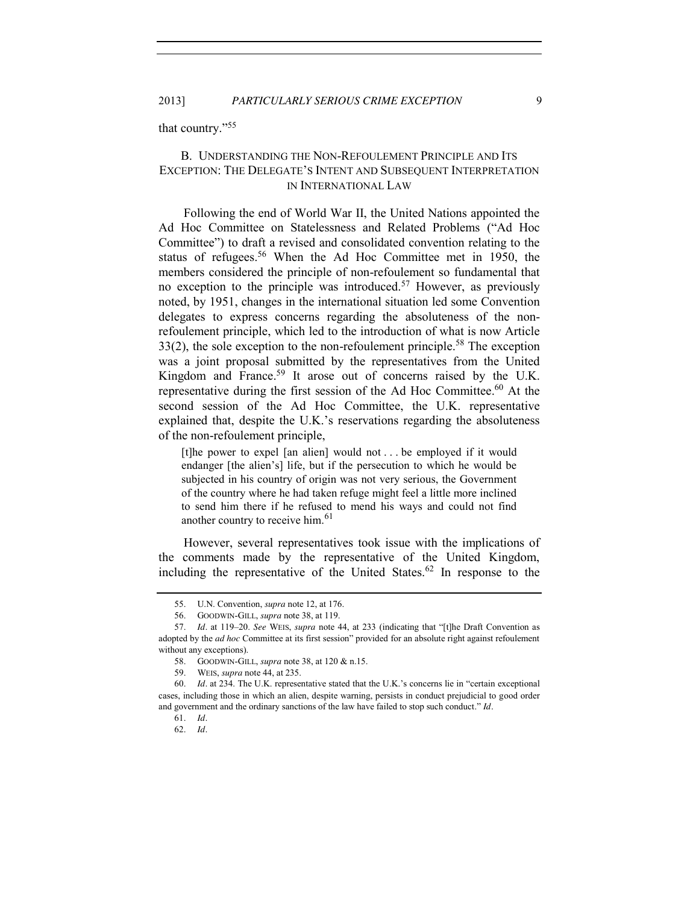<span id="page-8-0"></span>that country."<sup>55</sup>

# B. UNDERSTANDING THE NON-REFOULEMENT PRINCIPLE AND ITS EXCEPTION: THE DELEGATE'S INTENT AND SUBSEQUENT INTERPRETATION IN INTERNATIONAL LAW

<span id="page-8-1"></span>Following the end of World War II, the United Nations appointed the Ad Hoc Committee on Statelessness and Related Problems ("Ad Hoc Committee") to draft a revised and consolidated convention relating to the status of refugees.<sup>56</sup> When the Ad Hoc Committee met in 1950, the members considered the principle of non-refoulement so fundamental that no exception to the principle was introduced.<sup>57</sup> However, as previously noted, by 1951, changes in the international situation led some Convention delegates to express concerns regarding the absoluteness of the nonrefoulement principle, which led to the introduction of what is now Article  $33(2)$ , the sole exception to the non-refoulement principle.<sup>58</sup> The exception was a joint proposal submitted by the representatives from the United Kingdom and France.<sup>59</sup> It arose out of concerns raised by the U.K. representative during the first session of the Ad Hoc Committee.<sup>60</sup> At the second session of the Ad Hoc Committee, the U.K. representative explained that, despite the U.K.'s reservations regarding the absoluteness of the non-refoulement principle,

<span id="page-8-2"></span>[t]he power to expel [an alien] would not . . . be employed if it would endanger [the alien's] life, but if the persecution to which he would be subjected in his country of origin was not very serious, the Government of the country where he had taken refuge might feel a little more inclined to send him there if he refused to mend his ways and could not find another country to receive him.<sup>61</sup>

However, several representatives took issue with the implications of the comments made by the representative of the United Kingdom, including the representative of the United States. $62$  In response to the

<span id="page-8-3"></span><sup>55.</sup> U.N. Convention, *supra* not[e 12,](#page-2-1) at 176.

<sup>56.</sup> GOODWIN-GILL, *supra* not[e 38,](#page-6-2) at 119.

<sup>57.</sup> *Id.* at 119–20. *See* WEIS, *supra* note [44,](#page-6-3) at 233 (indicating that "[t]he Draft Convention as adopted by the *ad hoc* Committee at its first session" provided for an absolute right against refoulement without any exceptions).

<sup>58.</sup> GOODWIN-GILL, *supra* note [38,](#page-6-2) at 120 & n.15.

<sup>59.</sup> WEIS, *supra* not[e 44,](#page-6-3) at 235.

<sup>60.</sup> *Id.* at 234. The U.K. representative stated that the U.K.'s concerns lie in "certain exceptional cases, including those in which an alien, despite warning, persists in conduct prejudicial to good order and government and the ordinary sanctions of the law have failed to stop such conduct." *Id.*

<sup>61.</sup> *Id.*

<sup>62.</sup> *Id.*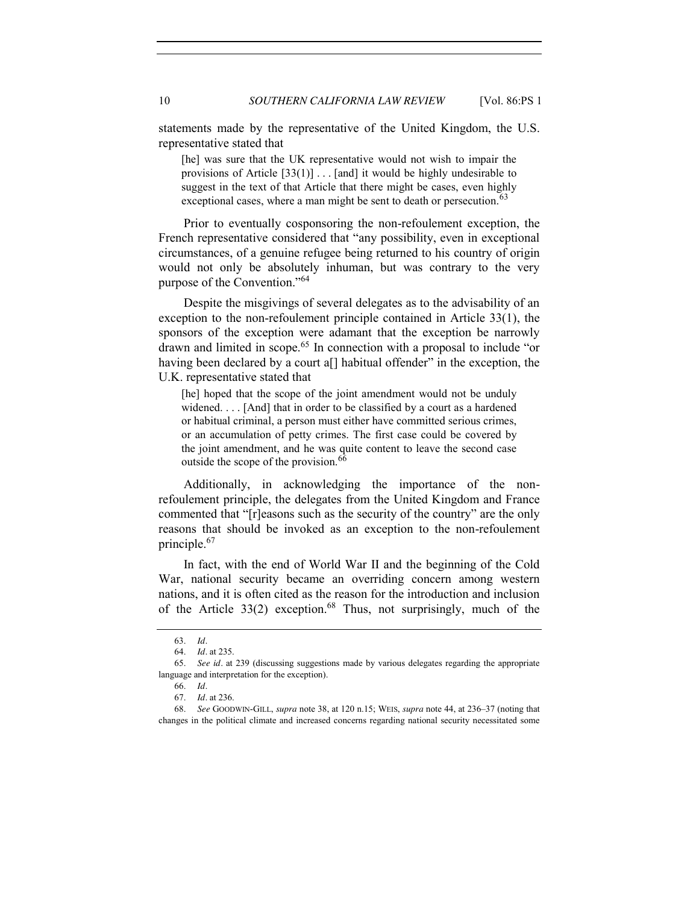statements made by the representative of the United Kingdom, the U.S. representative stated that

<span id="page-9-0"></span>[he] was sure that the UK representative would not wish to impair the provisions of Article  $[33(1)]$ ... [and] it would be highly undesirable to suggest in the text of that Article that there might be cases, even highly exceptional cases, where a man might be sent to death or persecution.<sup>63</sup>

Prior to eventually cosponsoring the non-refoulement exception, the French representative considered that "any possibility, even in exceptional circumstances, of a genuine refugee being returned to his country of origin would not only be absolutely inhuman, but was contrary to the very purpose of the Convention."<sup>64</sup>

Despite the misgivings of several delegates as to the advisability of an exception to the non-refoulement principle contained in Article 33(1), the sponsors of the exception were adamant that the exception be narrowly drawn and limited in scope.<sup>65</sup> In connection with a proposal to include "or having been declared by a court a<sup>[]</sup> habitual offender" in the exception, the U.K. representative stated that

<span id="page-9-1"></span>[he] hoped that the scope of the joint amendment would not be unduly widened. . . . [And] that in order to be classified by a court as a hardened or habitual criminal, a person must either have committed serious crimes, or an accumulation of petty crimes. The first case could be covered by the joint amendment, and he was quite content to leave the second case outside the scope of the provision.<sup>66</sup>

Additionally, in acknowledging the importance of the nonrefoulement principle, the delegates from the United Kingdom and France commented that "[r]easons such as the security of the country" are the only reasons that should be invoked as an exception to the non-refoulement principle.67

<span id="page-9-2"></span>In fact, with the end of World War II and the beginning of the Cold War, national security became an overriding concern among western nations, and it is often cited as the reason for the introduction and inclusion of the Article  $33(2)$  exception.<sup>68</sup> Thus, not surprisingly, much of the

<sup>63.</sup> *Id.*

<sup>64.</sup> *Id.* at 235.

<sup>65.</sup> *See id.* at 239 (discussing suggestions made by various delegates regarding the appropriate language and interpretation for the exception).

<sup>66.</sup> *Id.*

<sup>67.</sup> *Id.* at 236.

<sup>68.</sup> *See* GOODWIN-GILL, *supra* not[e 38,](#page-6-2) at 120 n.15; WEIS, *supra* not[e 44,](#page-6-3) at 236–37 (noting that changes in the political climate and increased concerns regarding national security necessitated some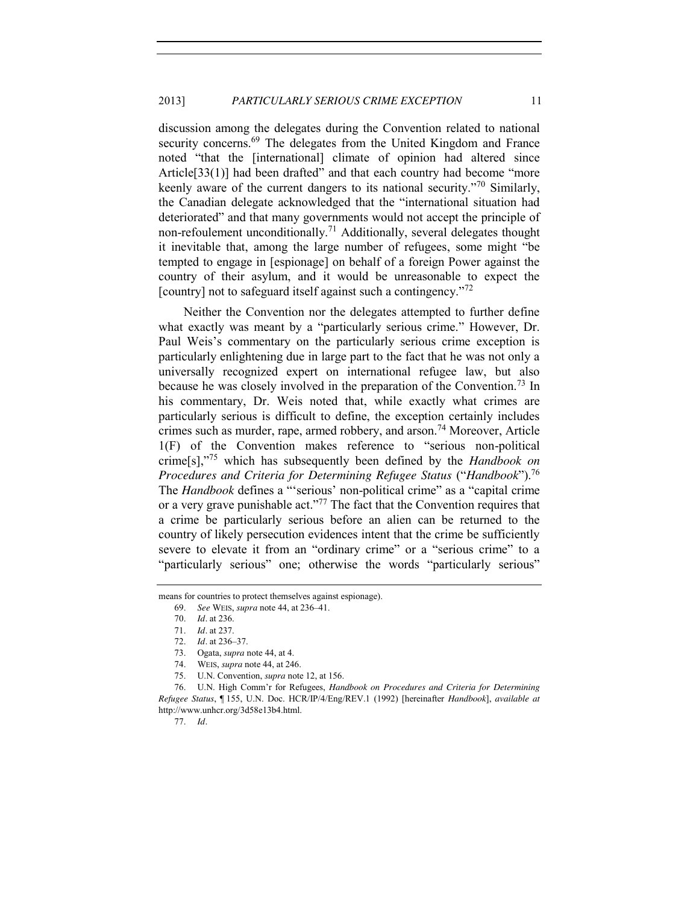discussion among the delegates during the Convention related to national security concerns.<sup>69</sup> The delegates from the United Kingdom and France noted "that the [international] climate of opinion had altered since Article<sup>[33(1)]</sup> had been drafted" and that each country had become "more" keenly aware of the current dangers to its national security."<sup>70</sup> Similarly, the Canadian delegate acknowledged that the "international situation had deteriorated" and that many governments would not accept the principle of non-refoulement unconditionally.<sup>71</sup> Additionally, several delegates thought it inevitable that, among the large number of refugees, some might "be tempted to engage in [espionage] on behalf of a foreign Power against the country of their asylum, and it would be unreasonable to expect the [country] not to safeguard itself against such a contingency."<sup>72</sup>

<span id="page-10-2"></span><span id="page-10-0"></span>Neither the Convention nor the delegates attempted to further define what exactly was meant by a "particularly serious crime." However, Dr. Paul Weis's commentary on the particularly serious crime exception is particularly enlightening due in large part to the fact that he was not only a universally recognized expert on international refugee law, but also because he was closely involved in the preparation of the Convention.<sup>73</sup> In his commentary, Dr. Weis noted that, while exactly what crimes are particularly serious is difficult to define, the exception certainly includes crimes such as murder, rape, armed robbery, and arson.<sup>74</sup> Moreover, Article 1(F) of the Convention makes reference to "serious non-political crime[s],"<sup>75</sup> which has subsequently been defined by the *Handbook on Procedures and Criteria for Determining Refugee Status* ("*Handbook*").76 The *Handbook* defines a "'serious' non-political crime" as a "capital crime or a very grave punishable act."<sup>77</sup> The fact that the Convention requires that a crime be particularly serious before an alien can be returned to the country of likely persecution evidences intent that the crime be sufficiently severe to elevate it from an "ordinary crime" or a "serious crime" to a "particularly serious" one; otherwise the words "particularly serious"

77. *Id.*

<span id="page-10-1"></span>means for countries to protect themselves against espionage).

<sup>69.</sup> *See* WEIS, *supra* not[e 44,](#page-6-3) at 236–41.

<sup>70.</sup> *Id.* at 236.

<sup>71.</sup> *Id.* at 237.

<sup>72.</sup> *Id.* at 236–37.

<sup>73.</sup> Ogata, *supra* not[e 44,](#page-6-3) at 4.

<sup>74.</sup> WEIS, *supra* not[e 44,](#page-6-3) at 246.

<sup>75.</sup> U.N. Convention, *supra* not[e 12,](#page-2-1) at 156.

<sup>76.</sup> U.N. High Comm'r for Refugees, *Handbook on Procedures and Criteria for Determining Refugee Status*, ¶ 155, U.N. Doc. HCR/IP/4/Eng/REV.1 (1992) [hereinafter *Handbook*], *available at* http://www.unhcr.org/3d58e13b4.html.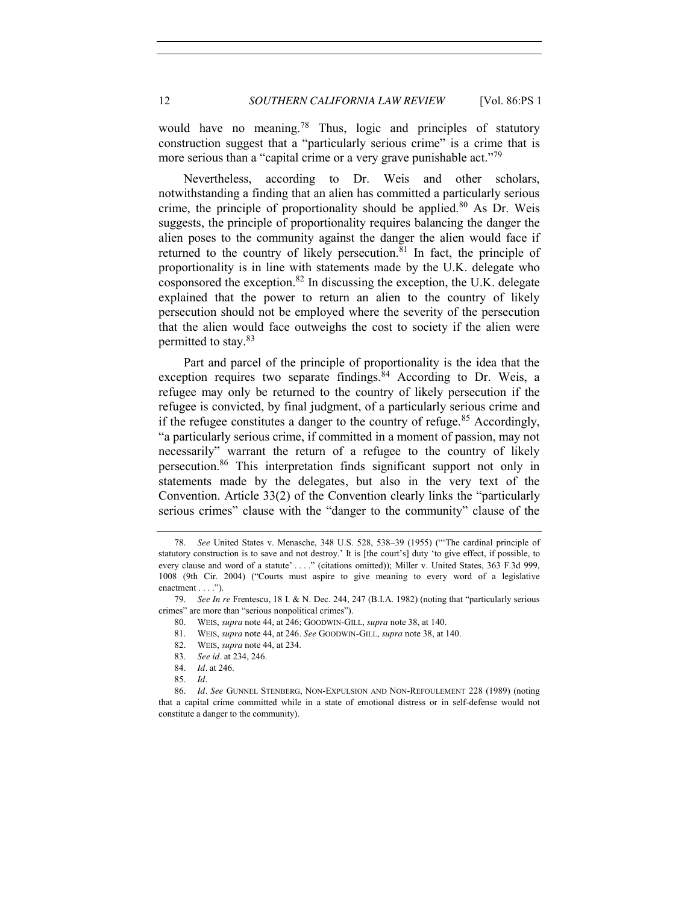<span id="page-11-1"></span>would have no meaning.<sup>78</sup> Thus, logic and principles of statutory construction suggest that a "particularly serious crime" is a crime that is more serious than a "capital crime or a very grave punishable act."<sup>79</sup>

Nevertheless, according to Dr. Weis and other scholars, notwithstanding a finding that an alien has committed a particularly serious crime, the principle of proportionality should be applied. $80$  As Dr. Weis suggests, the principle of proportionality requires balancing the danger the alien poses to the community against the danger the alien would face if returned to the country of likely persecution. $81$  In fact, the principle of proportionality is in line with statements made by the U.K. delegate who cosponsored the exception.82 In discussing the exception, the U.K. delegate explained that the power to return an alien to the country of likely persecution should not be employed where the severity of the persecution that the alien would face outweighs the cost to society if the alien were permitted to stay.<sup>83</sup>

<span id="page-11-2"></span>Part and parcel of the principle of proportionality is the idea that the exception requires two separate findings. $84$  According to Dr. Weis, a refugee may only be returned to the country of likely persecution if the refugee is convicted, by final judgment, of a particularly serious crime and if the refugee constitutes a danger to the country of refuge.<sup>85</sup> Accordingly, "a particularly serious crime, if committed in a moment of passion, may not necessarily" warrant the return of a refugee to the country of likely persecution.86 This interpretation finds significant support not only in statements made by the delegates, but also in the very text of the Convention. Article 33(2) of the Convention clearly links the "particularly serious crimes" clause with the "danger to the community" clause of the

<span id="page-11-0"></span><sup>78.</sup> *See* United States v. Menasche, 348 U.S. 528, 538–39 (1955) ("'The cardinal principle of statutory construction is to save and not destroy.' It is [the court's] duty 'to give effect, if possible, to every clause and word of a statute' . . . ." (citations omitted)); Miller v. United States, 363 F.3d 999, 1008 (9th Cir. 2004) ("Courts must aspire to give meaning to every word of a legislative enactment . . . .").

<sup>79.</sup> *See In re* Frentescu, 18 I. & N. Dec. 244, 247 (B.I.A. 1982) (noting that "particularly serious crimes" are more than "serious nonpolitical crimes").

<sup>80.</sup> WEIS, *supra* not[e 44,](#page-6-3) at 246; GOODWIN-GILL, *supra* not[e 38,](#page-6-2) at 140.

<sup>81.</sup> WEIS, *supra* not[e 44,](#page-6-3) at 246. *See* GOODWIN-GILL, *supra* not[e 38,](#page-6-2) at 140.

<sup>82.</sup> WEIS, *supra* not[e 44,](#page-6-3) at 234.

<sup>83.</sup> *See id.* at 234, 246.

<sup>84.</sup> *Id.* at 246.

<sup>85.</sup> *Id.*

<sup>86.</sup> *Id. See* GUNNEL STENBERG, NON-EXPULSION AND NON-REFOULEMENT 228 (1989) (noting that a capital crime committed while in a state of emotional distress or in self-defense would not constitute a danger to the community).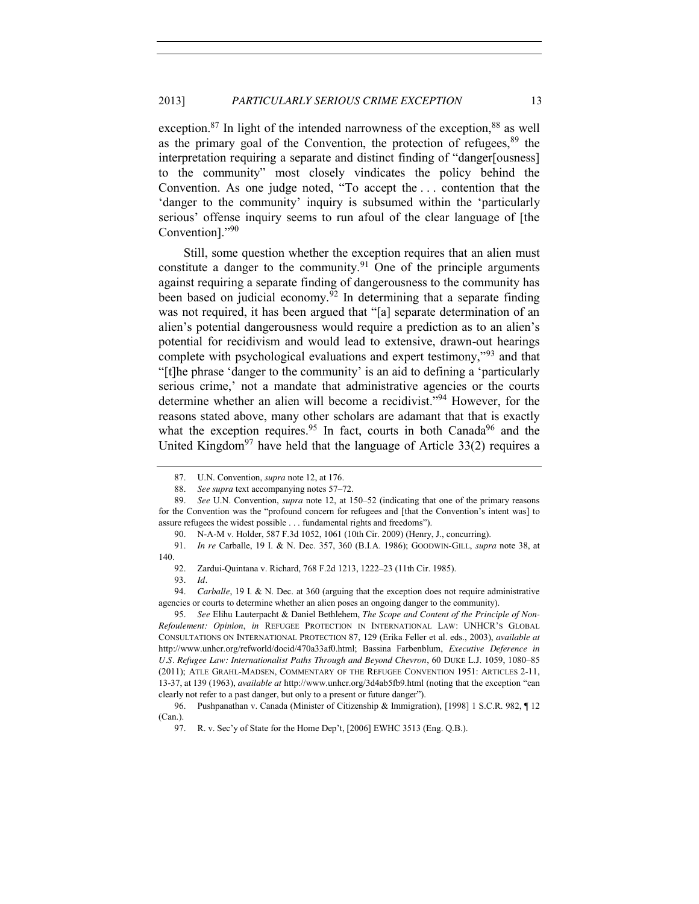exception.<sup>87</sup> In light of the intended narrowness of the exception.<sup>88</sup> as well as the primary goal of the Convention, the protection of refugees,  $89$  the interpretation requiring a separate and distinct finding of "danger[ousness] to the community" most closely vindicates the policy behind the Convention. As one judge noted, "To accept the . . . contention that the 'danger to the community' inquiry is subsumed within the 'particularly serious' offense inquiry seems to run afoul of the clear language of [the Convention]."<sup>90</sup>

Still, some question whether the exception requires that an alien must constitute a danger to the community.<sup>91</sup> One of the principle arguments against requiring a separate finding of dangerousness to the community has been based on judicial economy.<sup>92</sup> In determining that a separate finding was not required, it has been argued that "[a] separate determination of an alien's potential dangerousness would require a prediction as to an alien's potential for recidivism and would lead to extensive, drawn-out hearings complete with psychological evaluations and expert testimony,<sup>"93</sup> and that "[t]he phrase 'danger to the community' is an aid to defining a 'particularly serious crime,' not a mandate that administrative agencies or the courts determine whether an alien will become a recidivist."<sup>94</sup> However, for the reasons stated above, many other scholars are adamant that that is exactly what the exception requires.<sup>95</sup> In fact, courts in both Canada<sup>96</sup> and the United Kingdom<sup>97</sup> have held that the language of Article  $33(2)$  requires a

<span id="page-12-1"></span><span id="page-12-0"></span><sup>87.</sup> U.N. Convention, *supra* not[e 12,](#page-2-1) at 176.

<sup>88.</sup> *See supra* text accompanying notes [57](#page-8-1)–[72.](#page-10-0)

<sup>89.</sup> *See* U.N. Convention, *supra* not[e 12,](#page-2-1) at 150–52 (indicating that one of the primary reasons for the Convention was the "profound concern for refugees and [that the Convention's intent was] to assure refugees the widest possible . . . fundamental rights and freedoms").

<sup>90.</sup> N-A-M v. Holder, 587 F.3d 1052, 1061 (10th Cir. 2009) (Henry, J., concurring).

<sup>91.</sup> *In re* Carballe, 19 I. & N. Dec. 357, 360 (B.I.A. 1986); GOODWIN-GILL, *supra* note [38,](#page-6-2) at 140.

<sup>92.</sup> Zardui-Quintana v. Richard, 768 F.2d 1213, 1222–23 (11th Cir. 1985).

<sup>93.</sup> *Id.*

<sup>94.</sup> *Carballe*, 19 I. & N. Dec. at 360 (arguing that the exception does not require administrative agencies or courts to determine whether an alien poses an ongoing danger to the community).

<sup>95.</sup> *See* Elihu Lauterpacht & Daniel Bethlehem, *The Scope and Content of the Principle of Non-Refoulement: Opinion*, *in* REFUGEE PROTECTION IN INTERNATIONAL LAW: UNHCR'S GLOBAL CONSULTATIONS ON INTERNATIONAL PROTECTION 87, 129 (Erika Feller et al. eds., 2003), *available at* http://www.unhcr.org/refworld/docid/470a33af0.html; Bassina Farbenblum, *Executive Deference in U.S. Refugee Law: Internationalist Paths Through and Beyond Chevron*, 60 DUKE L.J. 1059, 1080–85 (2011); ATLE GRAHL-MADSEN, COMMENTARY OF THE REFUGEE CONVENTION 1951: ARTICLES 2-11, 13-37, at 139 (1963), *available at* http://www.unhcr.org/3d4ab5fb9.html (noting that the exception "can clearly not refer to a past danger, but only to a present or future danger").

<sup>96.</sup> Pushpanathan v. Canada (Minister of Citizenship & Immigration), [1998] 1 S.C.R. 982, ¶ 12 (Can.).

<sup>97.</sup> R. v. Sec'y of State for the Home Dep't, [2006] EWHC 3513 (Eng. Q.B.).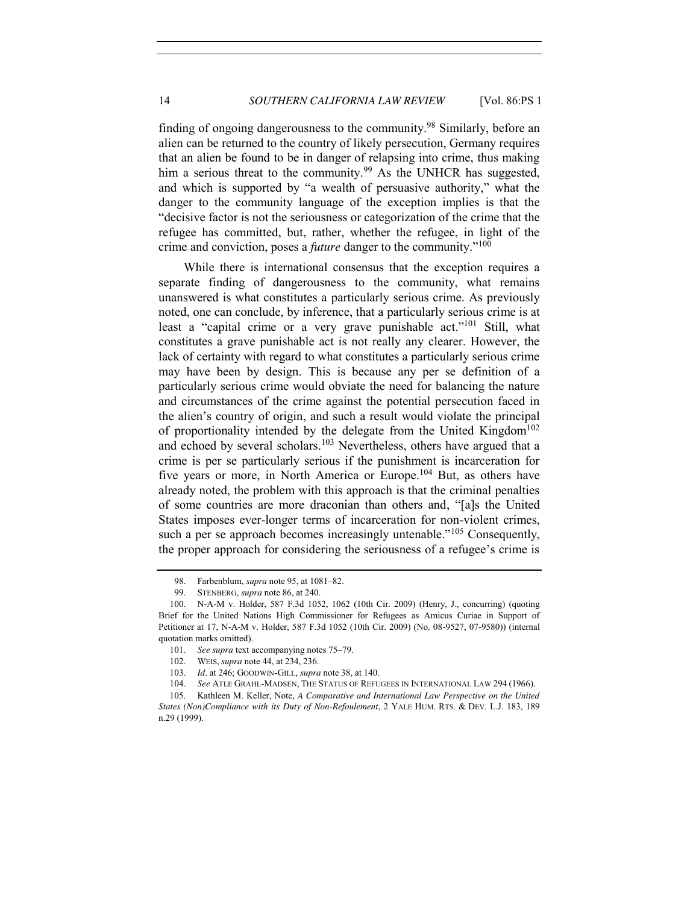finding of ongoing dangerousness to the community.<sup>98</sup> Similarly, before an alien can be returned to the country of likely persecution, Germany requires that an alien be found to be in danger of relapsing into crime, thus making him a serious threat to the community.<sup>99</sup> As the UNHCR has suggested, and which is supported by "a wealth of persuasive authority," what the danger to the community language of the exception implies is that the "decisive factor is not the seriousness or categorization of the crime that the refugee has committed, but, rather, whether the refugee, in light of the crime and conviction, poses a *future* danger to the community."<sup>100</sup>

<span id="page-13-2"></span><span id="page-13-1"></span>While there is international consensus that the exception requires a separate finding of dangerousness to the community, what remains unanswered is what constitutes a particularly serious crime. As previously noted, one can conclude, by inference, that a particularly serious crime is at least a "capital crime or a very grave punishable act."<sup>101</sup> Still, what constitutes a grave punishable act is not really any clearer. However, the lack of certainty with regard to what constitutes a particularly serious crime may have been by design. This is because any per se definition of a particularly serious crime would obviate the need for balancing the nature and circumstances of the crime against the potential persecution faced in the alien's country of origin, and such a result would violate the principal of proportionality intended by the delegate from the United Kingdom<sup>102</sup> and echoed by several scholars.<sup>103</sup> Nevertheless, others have argued that a crime is per se particularly serious if the punishment is incarceration for five years or more, in North America or Europe.<sup>104</sup> But, as others have already noted, the problem with this approach is that the criminal penalties of some countries are more draconian than others and, "[a]s the United States imposes ever-longer terms of incarceration for non-violent crimes, such a per se approach becomes increasingly untenable." $105$  Consequently, the proper approach for considering the seriousness of a refugee's crime is

<span id="page-13-5"></span>

<span id="page-13-4"></span><span id="page-13-3"></span><span id="page-13-0"></span><sup>98.</sup> Farbenblum, *supra* not[e 95,](#page-12-0) at 1081–82.

<sup>99.</sup> STENBERG, *supra* not[e 86,](#page-11-0) at 240.

<sup>100.</sup> N-A-M v. Holder, 587 F.3d 1052, 1062 (10th Cir. 2009) (Henry, J., concurring) (quoting Brief for the United Nations High Commissioner for Refugees as Amicus Curiae in Support of Petitioner at 17, N-A-M v. Holder, 587 F.3d 1052 (10th Cir. 2009) (No. 08-9527, 07-9580)) (internal quotation marks omitted).

<sup>101.</sup> *See supra* text accompanying notes [75](#page-10-1)–[79.](#page-11-1)

<sup>102.</sup> WEIS, *supra* not[e 44,](#page-6-3) at 234, 236.

<sup>103.</sup> *Id.* at 246; GOODWIN-GILL, *supra* not[e 38,](#page-6-2) at 140.

<sup>104.</sup> *See* ATLE GRAHL-MADSEN, THE STATUS OF REFUGEES IN INTERNATIONAL LAW 294 (1966).

<sup>105.</sup> Kathleen M. Keller, Note, *A Comparative and International Law Perspective on the United States (Non)Compliance with its Duty of Non-Refoulement*, 2 YALE HUM. RTS. & DEV. L.J. 183, 189 n.29 (1999).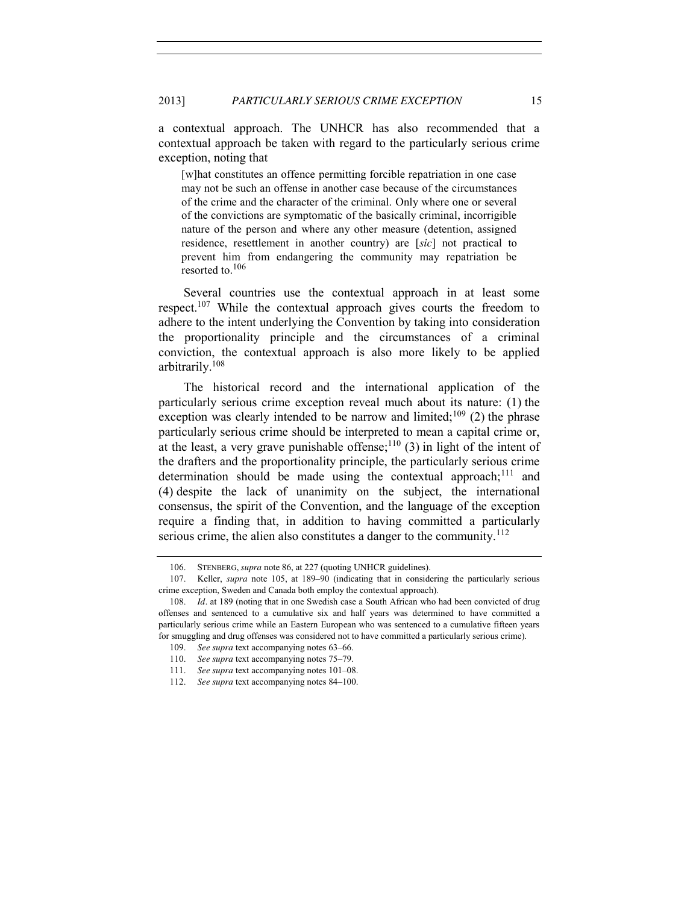a contextual approach. The UNHCR has also recommended that a contextual approach be taken with regard to the particularly serious crime exception, noting that

[w]hat constitutes an offence permitting forcible repatriation in one case may not be such an offense in another case because of the circumstances of the crime and the character of the criminal. Only where one or several of the convictions are symptomatic of the basically criminal, incorrigible nature of the person and where any other measure (detention, assigned residence, resettlement in another country) are [*sic*] not practical to prevent him from endangering the community may repatriation be resorted to.<sup>106</sup>

<span id="page-14-0"></span>Several countries use the contextual approach in at least some respect.107 While the contextual approach gives courts the freedom to adhere to the intent underlying the Convention by taking into consideration the proportionality principle and the circumstances of a criminal conviction, the contextual approach is also more likely to be applied arbitrarily.108

The historical record and the international application of the particularly serious crime exception reveal much about its nature: (1) the exception was clearly intended to be narrow and limited;<sup>109</sup> (2) the phrase particularly serious crime should be interpreted to mean a capital crime or, at the least, a very grave punishable offense;  $110$  (3) in light of the intent of the drafters and the proportionality principle, the particularly serious crime determination should be made using the contextual approach;<sup>111</sup> and (4) despite the lack of unanimity on the subject, the international consensus, the spirit of the Convention, and the language of the exception require a finding that, in addition to having committed a particularly serious crime, the alien also constitutes a danger to the community.<sup>112</sup>

<sup>106.</sup> STENBERG, *supra* not[e 86,](#page-11-0) at 227 (quoting UNHCR guidelines).<br>107. Keller, *supra* note 105, at 189–90 (indicating that in consideration

<sup>107.</sup> Keller, *supra* note [105,](#page-13-0) at 189–90 (indicating that in considering the particularly serious crime exception, Sweden and Canada both employ the contextual approach).

<sup>108.</sup> *Id.* at 189 (noting that in one Swedish case a South African who had been convicted of drug offenses and sentenced to a cumulative six and half years was determined to have committed a particularly serious crime while an Eastern European who was sentenced to a cumulative fifteen years for smuggling and drug offenses was considered not to have committed a particularly serious crime).

<sup>109.</sup> *See supra* text accompanying notes [63](#page-9-0)–[66.](#page-9-1)

<sup>110.</sup> *See supra* text accompanying notes [75](#page-10-1)–[79.](#page-11-1)

<sup>111.</sup> *See supra* text accompanying notes [101](#page-13-1)–08.

<sup>112.</sup> *See supra* text accompanying notes [84](#page-11-2)–[100.](#page-13-2)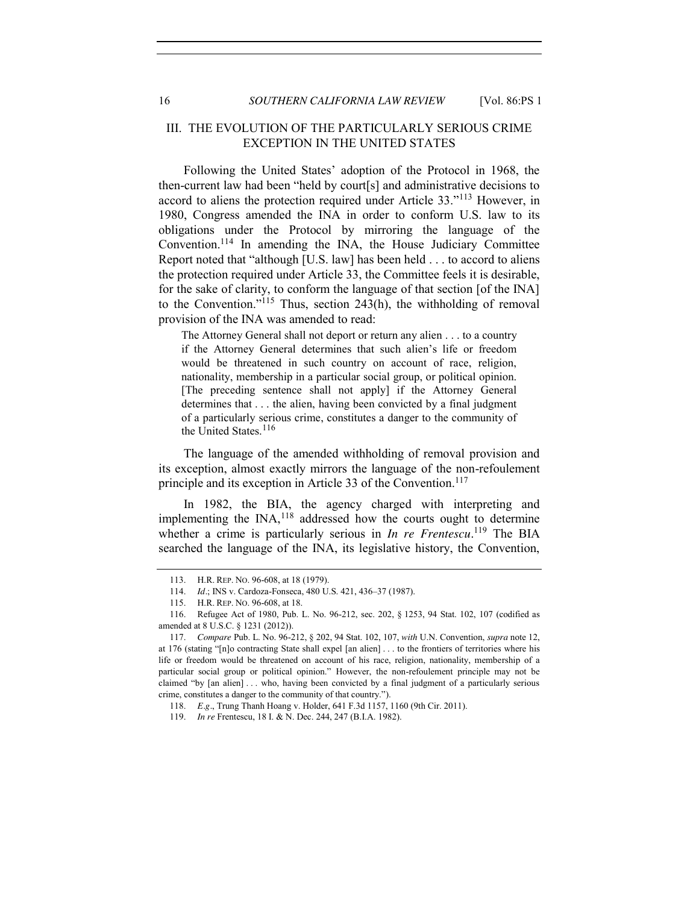## <span id="page-15-0"></span>III. THE EVOLUTION OF THE PARTICULARLY SERIOUS CRIME EXCEPTION IN THE UNITED STATES

<span id="page-15-1"></span>Following the United States' adoption of the Protocol in 1968, the then-current law had been "held by court[s] and administrative decisions to accord to aliens the protection required under Article 33."<sup>113</sup> However, in 1980, Congress amended the INA in order to conform U.S. law to its obligations under the Protocol by mirroring the language of the Convention.114 In amending the INA, the House Judiciary Committee Report noted that "although [U.S. law] has been held . . . to accord to aliens the protection required under Article 33, the Committee feels it is desirable, for the sake of clarity, to conform the language of that section [of the INA] to the Convention."<sup>115</sup> Thus, section 243(h), the withholding of removal provision of the INA was amended to read:

The Attorney General shall not deport or return any alien . . . to a country if the Attorney General determines that such alien's life or freedom would be threatened in such country on account of race, religion, nationality, membership in a particular social group, or political opinion. [The preceding sentence shall not apply] if the Attorney General determines that . . . the alien, having been convicted by a final judgment of a particularly serious crime, constitutes a danger to the community of the United States.<sup>116</sup>

The language of the amended withholding of removal provision and its exception, almost exactly mirrors the language of the non-refoulement principle and its exception in Article 33 of the Convention.<sup>117</sup>

In 1982, the BIA, the agency charged with interpreting and implementing the INA,<sup>118</sup> addressed how the courts ought to determine whether a crime is particularly serious in *In re Frentescu*.<sup>119</sup> The BIA searched the language of the INA, its legislative history, the Convention,

<sup>113.</sup> H.R. REP. NO. 96-608, at 18 (1979).

<sup>114.</sup> *Id.*; INS v. Cardoza-Fonseca, 480 U.S. 421, 436–37 (1987).

<sup>115.</sup> H.R. REP. NO. 96-608, at 18.

<sup>116.</sup> Refugee Act of 1980, Pub. L. No. 96-212, sec. 202, § 1253, 94 Stat. 102, 107 (codified as amended at 8 U.S.C. § 1231 (2012)).

<sup>117.</sup> *Compare* Pub. L. No. 96-212, § 202, 94 Stat. 102, 107, *with* U.N. Convention, *supra* not[e 12,](#page-2-1) at 176 (stating "[n]o contracting State shall expel [an alien] . . . to the frontiers of territories where his life or freedom would be threatened on account of his race, religion, nationality, membership of a particular social group or political opinion." However, the non-refoulement principle may not be claimed "by [an alien] . . . who, having been convicted by a final judgment of a particularly serious crime, constitutes a danger to the community of that country.").

<sup>118.</sup> *E.g.*, Trung Thanh Hoang v. Holder, 641 F.3d 1157, 1160 (9th Cir. 2011).

<sup>119.</sup> *In re* Frentescu, 18 I. & N. Dec. 244, 247 (B.I.A. 1982).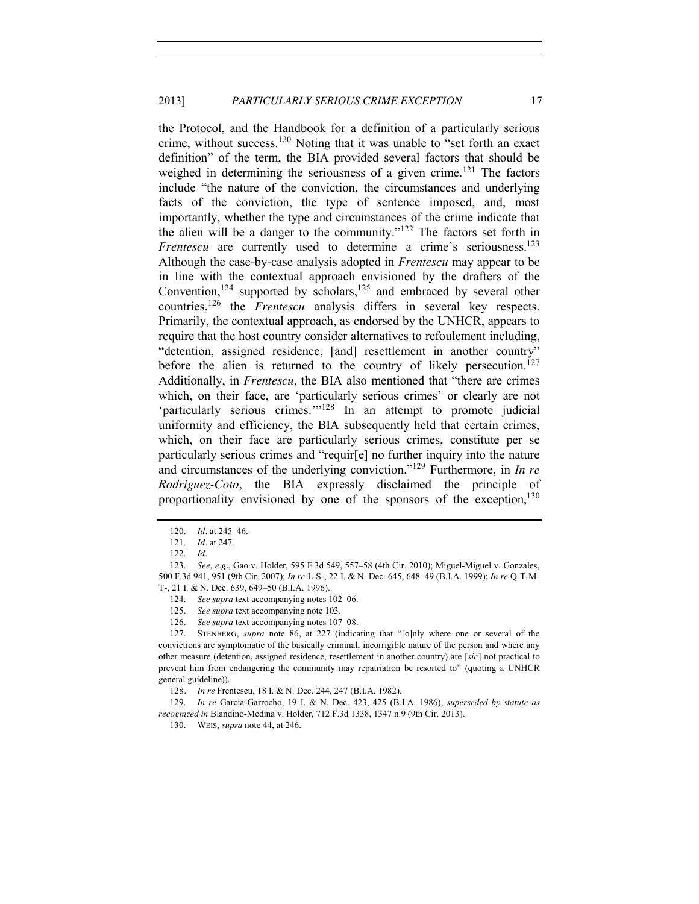the Protocol, and the Handbook for a definition of a particularly serious crime, without success.<sup>120</sup> Noting that it was unable to "set forth an exact definition" of the term, the BIA provided several factors that should be weighed in determining the seriousness of a given crime.<sup>121</sup> The factors include "the nature of the conviction, the circumstances and underlying facts of the conviction, the type of sentence imposed, and, most importantly, whether the type and circumstances of the crime indicate that the alien will be a danger to the community."<sup>122</sup> The factors set forth in *Frentescu* are currently used to determine a crime's seriousness.<sup>123</sup> Although the case-by-case analysis adopted in *Frentescu* may appear to be in line with the contextual approach envisioned by the drafters of the Convention,<sup>124</sup> supported by scholars,<sup>125</sup> and embraced by several other countries,126 the *Frentescu* analysis differs in several key respects. Primarily, the contextual approach, as endorsed by the UNHCR, appears to require that the host country consider alternatives to refoulement including, "detention, assigned residence, [and] resettlement in another country" before the alien is returned to the country of likely persecution.<sup>127</sup> Additionally, in *Frentescu*, the BIA also mentioned that "there are crimes which, on their face, are 'particularly serious crimes' or clearly are not 'particularly serious crimes.'"<sup>128</sup> In an attempt to promote judicial uniformity and efficiency, the BIA subsequently held that certain crimes, which, on their face are particularly serious crimes, constitute per se particularly serious crimes and "requir[e] no further inquiry into the nature and circumstances of the underlying conviction."<sup>129</sup> Furthermore, in *In re Rodriguez-Coto*, the BIA expressly disclaimed the principle of proportionality envisioned by one of the sponsors of the exception,  $130$ 

<sup>120.</sup> *Id.* at 245–46.

<sup>121.</sup> *Id.* at 247.

<sup>122.</sup> *Id.*

<sup>123.</sup> *See, e.g.*, Gao v. Holder, 595 F.3d 549, 557–58 (4th Cir. 2010); Miguel-Miguel v. Gonzales, 500 F.3d 941, 951 (9th Cir. 2007); *In re* L-S-, 22 I. & N. Dec. 645, 648–49 (B.I.A. 1999); *In re* Q-T-M-T-, 21 I. & N. Dec. 639, 649–50 (B.I.A. 1996).

<sup>124.</sup> *See supra* text accompanying notes [102](#page-13-3)–06.

<sup>125.</sup> *See supra* text accompanying note [103.](#page-13-4)

<sup>126.</sup> *See supra* text accompanying notes [107](#page-14-0)–08.

<sup>127.</sup> STENBERG, *supra* note [86,](#page-11-0) at 227 (indicating that "[o]nly where one or several of the convictions are symptomatic of the basically criminal, incorrigible nature of the person and where any other measure (detention, assigned residence, resettlement in another country) are [*sic*] not practical to prevent him from endangering the community may repatriation be resorted to" (quoting a UNHCR general guideline)).

<sup>128</sup>*. In re* Frentescu, 18 I. & N. Dec. 244, 247 (B.I.A. 1982).

<sup>129.</sup> *In re* Garcia-Garrocho, 19 I. & N. Dec. 423, 425 (B.I.A. 1986), *superseded by statute as recognized in* Blandino-Medina v. Holder, 712 F.3d 1338, 1347 n.9 (9th Cir. 2013).

<sup>130.</sup> WEIS, *supra* note [44,](#page-6-3) at 246.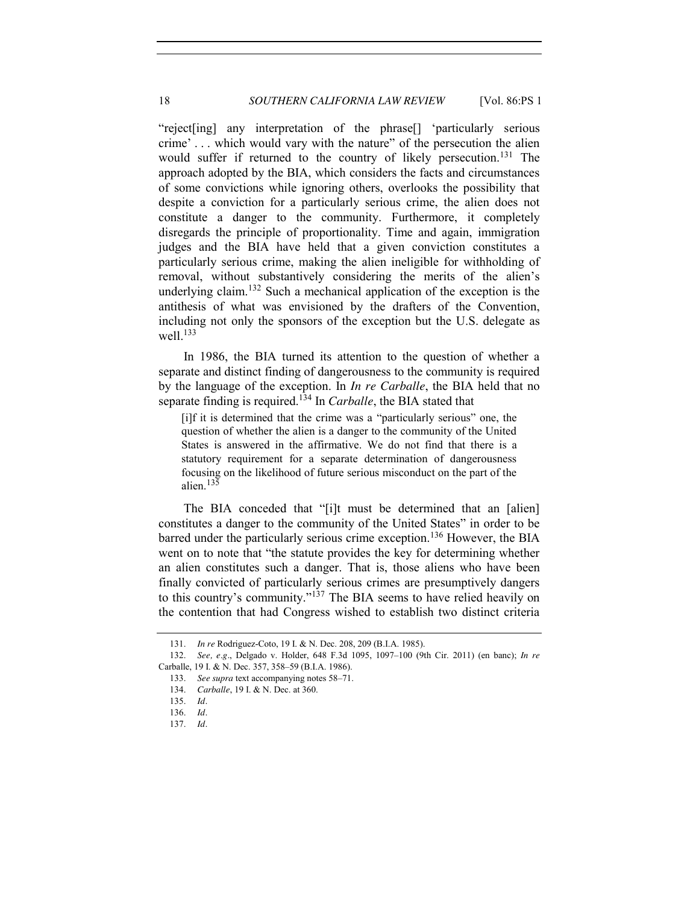"reject[ing] any interpretation of the phrase[] 'particularly serious crime' . . . which would vary with the nature" of the persecution the alien would suffer if returned to the country of likely persecution.<sup>131</sup> The approach adopted by the BIA, which considers the facts and circumstances of some convictions while ignoring others, overlooks the possibility that despite a conviction for a particularly serious crime, the alien does not constitute a danger to the community. Furthermore, it completely disregards the principle of proportionality. Time and again, immigration judges and the BIA have held that a given conviction constitutes a particularly serious crime, making the alien ineligible for withholding of removal, without substantively considering the merits of the alien's underlying claim.<sup>132</sup> Such a mechanical application of the exception is the antithesis of what was envisioned by the drafters of the Convention, including not only the sponsors of the exception but the U.S. delegate as well. $133$ 

In 1986, the BIA turned its attention to the question of whether a separate and distinct finding of dangerousness to the community is required by the language of the exception. In *In re Carballe*, the BIA held that no separate finding is required.<sup>134</sup> In *Carballe*, the BIA stated that

<span id="page-17-0"></span>[i]f it is determined that the crime was a "particularly serious" one, the question of whether the alien is a danger to the community of the United States is answered in the affirmative. We do not find that there is a statutory requirement for a separate determination of dangerousness focusing on the likelihood of future serious misconduct on the part of the alien.<sup>135</sup>

The BIA conceded that "[i]t must be determined that an [alien] constitutes a danger to the community of the United States" in order to be barred under the particularly serious crime exception.<sup>136</sup> However, the BIA went on to note that "the statute provides the key for determining whether an alien constitutes such a danger. That is, those aliens who have been finally convicted of particularly serious crimes are presumptively dangers to this country's community."<sup>137</sup> The BIA seems to have relied heavily on the contention that had Congress wished to establish two distinct criteria

<sup>131.</sup> *In re* Rodriguez-Coto, 19 I. & N. Dec. 208, 209 (B.I.A. 1985).

<sup>132.</sup> *See, e.g.*, Delgado v. Holder, 648 F.3d 1095, 1097–100 (9th Cir. 2011) (en banc); *In re* Carballe, 19 I. & N. Dec. 357, 358–59 (B.I.A. 1986).

<sup>133.</sup> *See supra* text accompanying notes [58](#page-8-2)–[71.](#page-10-2)

<sup>134.</sup> *Carballe*, 19 I. & N. Dec. at 360.

<sup>135.</sup> *Id.*

<sup>136.</sup> *Id.*

<sup>137.</sup> *Id.*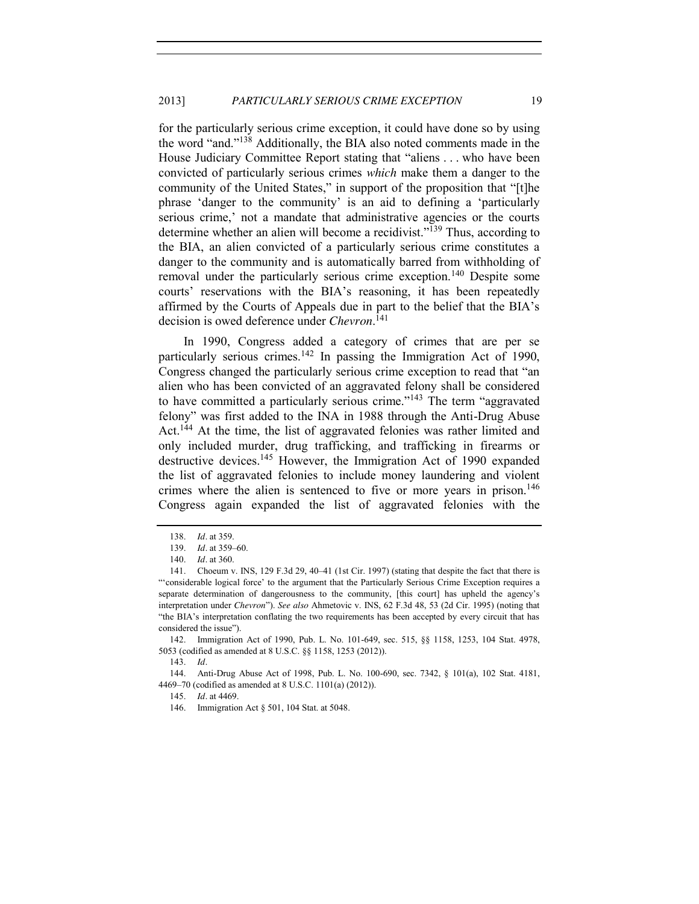for the particularly serious crime exception, it could have done so by using the word "and."<sup>138</sup> Additionally, the BIA also noted comments made in the House Judiciary Committee Report stating that "aliens . . . who have been convicted of particularly serious crimes *which* make them a danger to the community of the United States," in support of the proposition that "[t]he phrase 'danger to the community' is an aid to defining a 'particularly serious crime,' not a mandate that administrative agencies or the courts determine whether an alien will become a recidivist."<sup>139</sup> Thus, according to the BIA, an alien convicted of a particularly serious crime constitutes a danger to the community and is automatically barred from withholding of removal under the particularly serious crime exception.<sup>140</sup> Despite some courts' reservations with the BIA's reasoning, it has been repeatedly affirmed by the Courts of Appeals due in part to the belief that the BIA's decision is owed deference under *Chevron*. 141

<span id="page-18-0"></span>In 1990, Congress added a category of crimes that are per se particularly serious crimes.<sup>142</sup> In passing the Immigration Act of 1990, Congress changed the particularly serious crime exception to read that "an alien who has been convicted of an aggravated felony shall be considered to have committed a particularly serious crime."<sup>143</sup> The term "aggravated" felony" was first added to the INA in 1988 through the Anti-Drug Abuse Act.<sup>144</sup> At the time, the list of aggravated felonies was rather limited and only included murder, drug trafficking, and trafficking in firearms or destructive devices.<sup>145</sup> However, the Immigration Act of 1990 expanded the list of aggravated felonies to include money laundering and violent crimes where the alien is sentenced to five or more years in prison.<sup>146</sup> Congress again expanded the list of aggravated felonies with the

144. Anti-Drug Abuse Act of 1998, Pub. L. No. 100-690, sec. 7342, § 101(a), 102 Stat. 4181, 4469–70 (codified as amended at 8 U.S.C. 1101(a) (2012)).

145. *Id.* at 4469.

<sup>138.</sup> *Id.* at 359.

<sup>139.</sup> *Id.* at 359–60.

<sup>140.</sup> *Id.* at 360.

<sup>141.</sup> Choeum v. INS, 129 F.3d 29, 40–41 (1st Cir. 1997) (stating that despite the fact that there is "'considerable logical force' to the argument that the Particularly Serious Crime Exception requires a separate determination of dangerousness to the community, [this court] has upheld the agency's interpretation under *Chevron*"). *See also* Ahmetovic v. INS, 62 F.3d 48, 53 (2d Cir. 1995) (noting that "the BIA's interpretation conflating the two requirements has been accepted by every circuit that has considered the issue").

<sup>142.</sup> Immigration Act of 1990, Pub. L. No. 101-649, sec. 515, §§ 1158, 1253, 104 Stat. 4978, 5053 (codified as amended at 8 U.S.C. §§ 1158, 1253 (2012)).

<sup>143.</sup> *Id.*

<sup>146.</sup> Immigration Act § 501, 104 Stat. at 5048.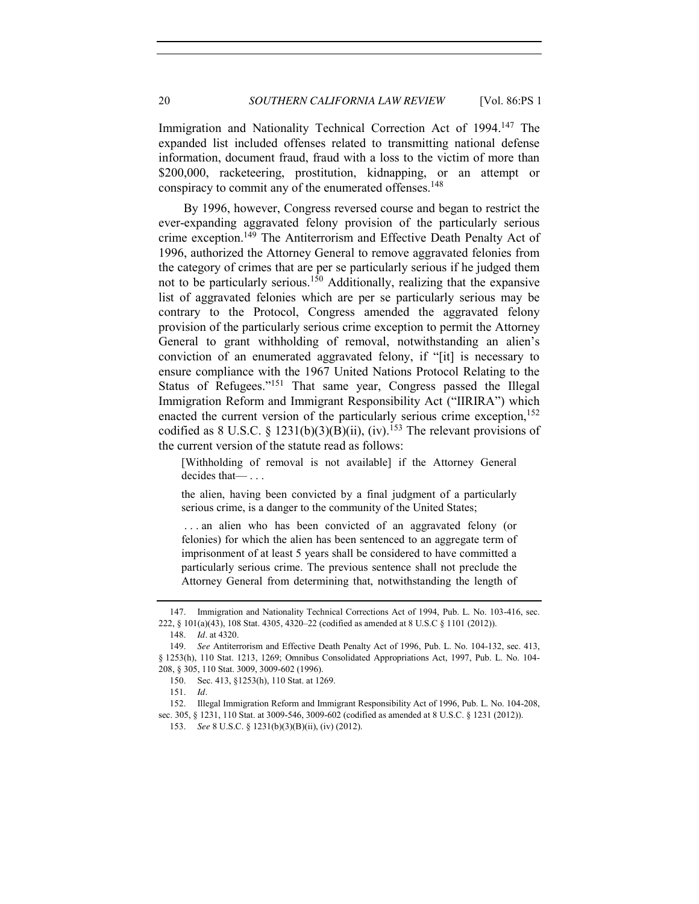Immigration and Nationality Technical Correction Act of 1994.<sup>147</sup> The expanded list included offenses related to transmitting national defense information, document fraud, fraud with a loss to the victim of more than \$200,000, racketeering, prostitution, kidnapping, or an attempt or conspiracy to commit any of the enumerated offenses.<sup>148</sup>

By 1996, however, Congress reversed course and began to restrict the ever-expanding aggravated felony provision of the particularly serious crime exception.<sup>149</sup> The Antiterrorism and Effective Death Penalty Act of 1996, authorized the Attorney General to remove aggravated felonies from the category of crimes that are per se particularly serious if he judged them not to be particularly serious.<sup>150</sup> Additionally, realizing that the expansive list of aggravated felonies which are per se particularly serious may be contrary to the Protocol, Congress amended the aggravated felony provision of the particularly serious crime exception to permit the Attorney General to grant withholding of removal, notwithstanding an alien's conviction of an enumerated aggravated felony, if "[it] is necessary to ensure compliance with the 1967 United Nations Protocol Relating to the Status of Refugees."<sup>151</sup> That same year, Congress passed the Illegal Immigration Reform and Immigrant Responsibility Act ("IIRIRA") which enacted the current version of the particularly serious crime exception,<sup>152</sup> codified as 8 U.S.C. § 1231(b)(3)(B)(ii), (iv).<sup>153</sup> The relevant provisions of the current version of the statute read as follows:

[Withholding of removal is not available] if the Attorney General decides that— . . .

the alien, having been convicted by a final judgment of a particularly serious crime, is a danger to the community of the United States;

. . . an alien who has been convicted of an aggravated felony (or felonies) for which the alien has been sentenced to an aggregate term of imprisonment of at least 5 years shall be considered to have committed a particularly serious crime. The previous sentence shall not preclude the Attorney General from determining that, notwithstanding the length of

<sup>147.</sup> Immigration and Nationality Technical Corrections Act of 1994, Pub. L. No. 103-416, sec. 222, § 101(a)(43), 108 Stat. 4305, 4320–22 (codified as amended at 8 U.S.C § 1101 (2012)).

<sup>148.</sup> *Id.* at 4320.

<sup>149.</sup> *See* Antiterrorism and Effective Death Penalty Act of 1996, Pub. L. No. 104-132, sec. 413, § 1253(h), 110 Stat. 1213, 1269; Omnibus Consolidated Appropriations Act, 1997, Pub. L. No. 104- 208, § 305, 110 Stat. 3009, 3009-602 (1996).

<sup>150.</sup> Sec. 413, §1253(h), 110 Stat. at 1269.

<sup>151.</sup> *Id.*

<sup>152.</sup> Illegal Immigration Reform and Immigrant Responsibility Act of 1996, Pub. L. No. 104-208, sec. 305, § 1231, 110 Stat. at 3009-546, 3009-602 (codified as amended at 8 U.S.C. § 1231 (2012)).

<sup>153.</sup> *See* 8 U.S.C. § 1231(b)(3)(B)(ii), (iv) (2012).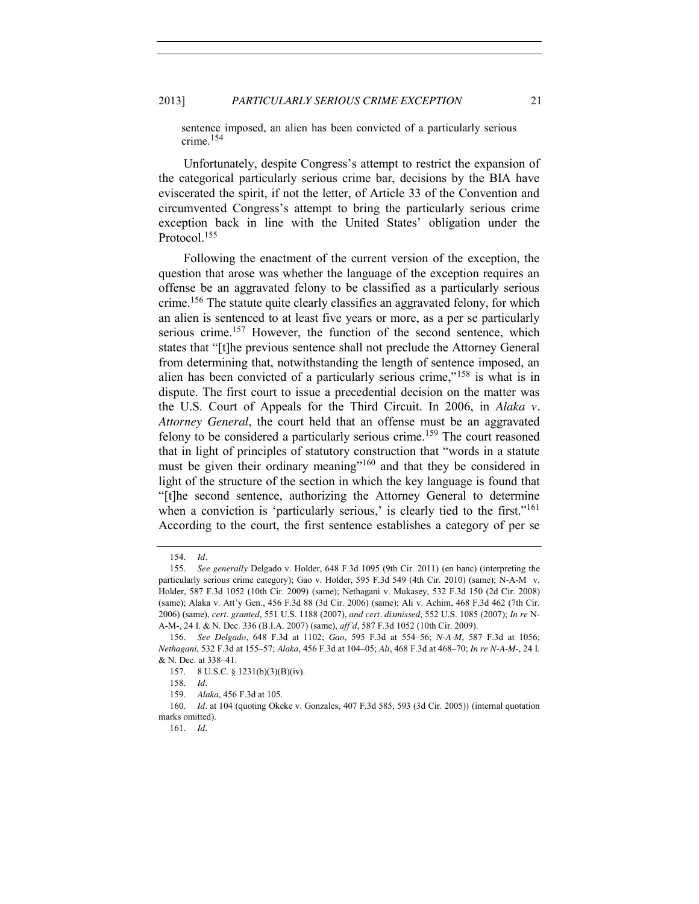#### 2013] *PARTICULARLY SERIOUS CRIME EXCEPTION* 21

sentence imposed, an alien has been convicted of a particularly serious crime.<sup>154</sup>

Unfortunately, despite Congress's attempt to restrict the expansion of the categorical particularly serious crime bar, decisions by the BIA have eviscerated the spirit, if not the letter, of Article 33 of the Convention and circumvented Congress's attempt to bring the particularly serious crime exception back in line with the United States' obligation under the Protocol.<sup>155</sup>

Following the enactment of the current version of the exception, the question that arose was whether the language of the exception requires an offense be an aggravated felony to be classified as a particularly serious crime.<sup>156</sup> The statute quite clearly classifies an aggravated felony, for which an alien is sentenced to at least five years or more, as a per se particularly serious crime.<sup>157</sup> However, the function of the second sentence, which states that "[t]he previous sentence shall not preclude the Attorney General from determining that, notwithstanding the length of sentence imposed, an alien has been convicted of a particularly serious crime,"<sup>158</sup> is what is in dispute. The first court to issue a precedential decision on the matter was the U.S. Court of Appeals for the Third Circuit. In 2006, in *Alaka v. Attorney General*, the court held that an offense must be an aggravated felony to be considered a particularly serious crime.<sup>159</sup> The court reasoned that in light of principles of statutory construction that "words in a statute must be given their ordinary meaning<sup>"160</sup> and that they be considered in light of the structure of the section in which the key language is found that "[t]he second sentence, authorizing the Attorney General to determine when a conviction is 'particularly serious,' is clearly tied to the first."<sup>161</sup> According to the court, the first sentence establishes a category of per se

<sup>154.</sup> *Id.*

<sup>155.</sup> *See generally* Delgado v. Holder, 648 F.3d 1095 (9th Cir. 2011) (en banc) (interpreting the particularly serious crime category); Gao v. Holder, 595 F.3d 549 (4th Cir. 2010) (same); N-A-M v. Holder, 587 F.3d 1052 (10th Cir. 2009) (same); Nethagani v. Mukasey, 532 F.3d 150 (2d Cir. 2008) (same); Alaka v. Att'y Gen., 456 F.3d 88 (3d Cir. 2006) (same); Ali v. Achim, 468 F.3d 462 (7th Cir. 2006) (same), *cert. granted*, 551 U.S. 1188 (2007), *and cert. dismissed*, 552 U.S. 1085 (2007); *In re* N-A-M-, 24 I. & N. Dec. 336 (B.I.A. 2007) (same), *aff'd*, 587 F.3d 1052 (10th Cir. 2009).

<sup>156.</sup> *See Delgado*, 648 F.3d at 1102; *Gao*, 595 F.3d at 554–56; *N-A-M*, 587 F.3d at 1056; *Nethagani*, 532 F.3d at 155–57; *Alaka*, 456 F.3d at 104–05; *Ali*, 468 F.3d at 468–70; *In re N-A-M-*, 24 I. & N. Dec. at 338–41.

<sup>157.</sup> 8 U.S.C. § 1231(b)(3)(B)(iv).

<sup>158.</sup> *Id.*

<sup>159.</sup> *Alaka*, 456 F.3d at 105.

<sup>160.</sup> *Id.* at 104 (quoting Okeke v. Gonzales, 407 F.3d 585, 593 (3d Cir. 2005)) (internal quotation marks omitted).

<sup>161.</sup> *Id.*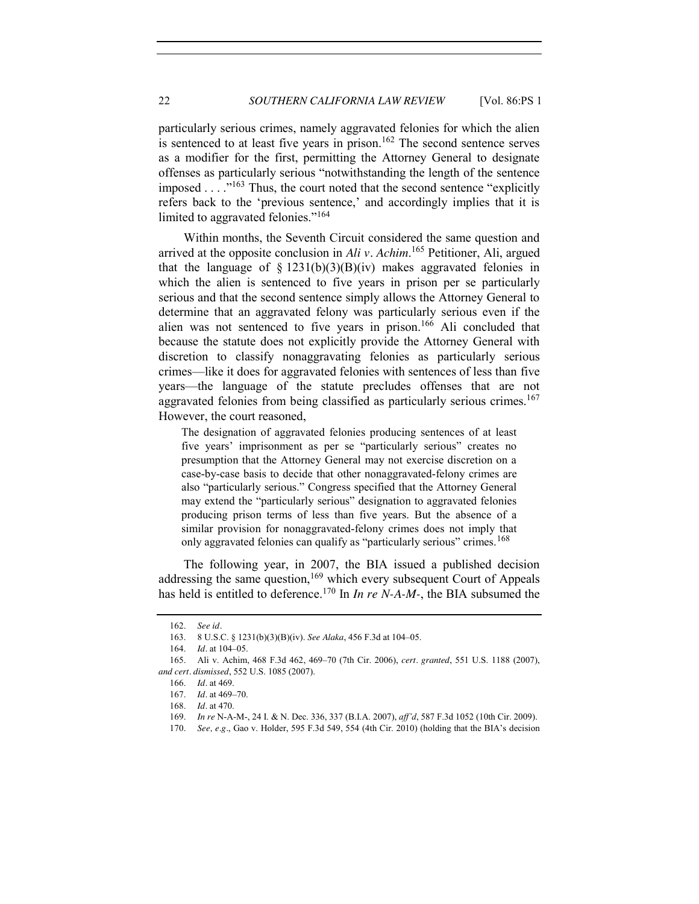particularly serious crimes, namely aggravated felonies for which the alien is sentenced to at least five years in prison.<sup>162</sup> The second sentence serves as a modifier for the first, permitting the Attorney General to designate offenses as particularly serious "notwithstanding the length of the sentence imposed . . . . .<sup>"163</sup> Thus, the court noted that the second sentence "explicitly refers back to the 'previous sentence,' and accordingly implies that it is limited to aggravated felonies."<sup>164</sup>

Within months, the Seventh Circuit considered the same question and arrived at the opposite conclusion in *Ali v. Achim*. <sup>165</sup> Petitioner, Ali, argued that the language of  $\S$  1231(b)(3)(B)(iv) makes aggravated felonies in which the alien is sentenced to five years in prison per se particularly serious and that the second sentence simply allows the Attorney General to determine that an aggravated felony was particularly serious even if the alien was not sentenced to five years in prison.166 Ali concluded that because the statute does not explicitly provide the Attorney General with discretion to classify nonaggravating felonies as particularly serious crimes—like it does for aggravated felonies with sentences of less than five years—the language of the statute precludes offenses that are not aggravated felonies from being classified as particularly serious crimes.<sup>167</sup> However, the court reasoned,

The designation of aggravated felonies producing sentences of at least five years' imprisonment as per se "particularly serious" creates no presumption that the Attorney General may not exercise discretion on a case-by-case basis to decide that other nonaggravated-felony crimes are also "particularly serious." Congress specified that the Attorney General may extend the "particularly serious" designation to aggravated felonies producing prison terms of less than five years. But the absence of a similar provision for nonaggravated-felony crimes does not imply that only aggravated felonies can qualify as "particularly serious" crimes.<sup>168</sup>

The following year, in 2007, the BIA issued a published decision addressing the same question,<sup>169</sup> which every subsequent Court of Appeals has held is entitled to deference.<sup>170</sup> In *In re N-A-M-*, the BIA subsumed the

<sup>162.</sup> *See id.*

<sup>163.</sup> 8 U.S.C. § 1231(b)(3)(B)(iv). *See Alaka*, 456 F.3d at 104–05.

<sup>164.</sup> *Id.* at 104–05.

<sup>165.</sup> Ali v. Achim, 468 F.3d 462, 469–70 (7th Cir. 2006), *cert. granted*, 551 U.S. 1188 (2007), *and cert. dismissed*, 552 U.S. 1085 (2007).

<sup>166.</sup> *Id.* at 469.

<sup>167.</sup> *Id.* at 469–70.

<sup>168.</sup> *Id.* at 470.

<sup>169.</sup> *In re* N-A-M-, 24 I. & N. Dec. 336, 337 (B.I.A. 2007), *aff'd*, 587 F.3d 1052 (10th Cir. 2009).

<sup>170.</sup> *See, e.g.*, Gao v. Holder, 595 F.3d 549, 554 (4th Cir. 2010) (holding that the BIA's decision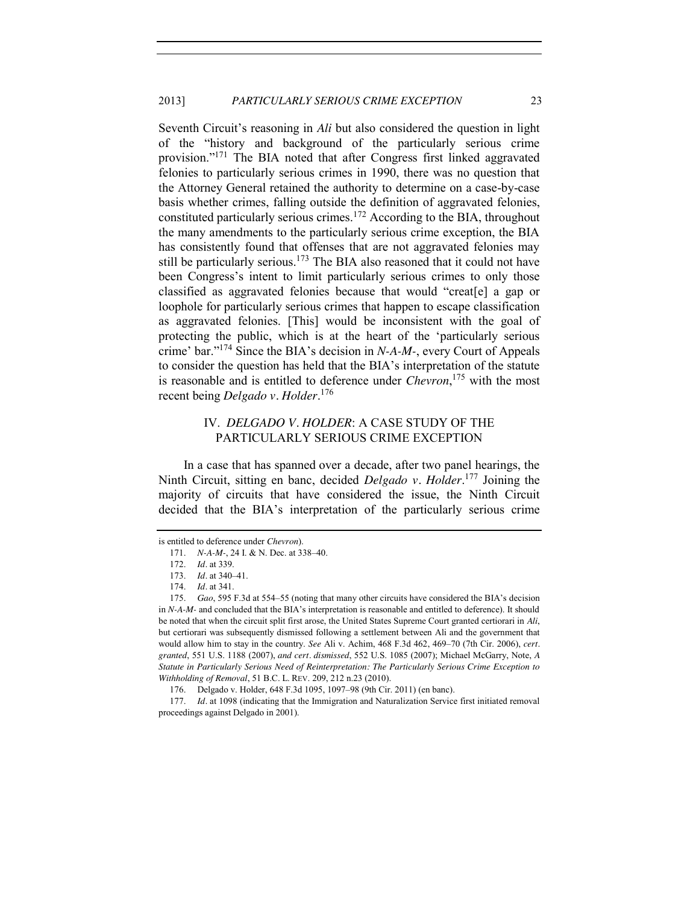Seventh Circuit's reasoning in *Ali* but also considered the question in light of the "history and background of the particularly serious crime provision."<sup>171</sup> The BIA noted that after Congress first linked aggravated felonies to particularly serious crimes in 1990, there was no question that the Attorney General retained the authority to determine on a case-by-case basis whether crimes, falling outside the definition of aggravated felonies, constituted particularly serious crimes.<sup>172</sup> According to the BIA, throughout the many amendments to the particularly serious crime exception, the BIA has consistently found that offenses that are not aggravated felonies may still be particularly serious.<sup>173</sup> The BIA also reasoned that it could not have been Congress's intent to limit particularly serious crimes to only those classified as aggravated felonies because that would "creat[e] a gap or loophole for particularly serious crimes that happen to escape classification as aggravated felonies. [This] would be inconsistent with the goal of protecting the public, which is at the heart of the 'particularly serious crime' bar."<sup>174</sup> Since the BIA's decision in *N-A-M-*, every Court of Appeals to consider the question has held that the BIA's interpretation of the statute is reasonable and is entitled to deference under *Chevron*, <sup>175</sup> with the most recent being *Delgado v. Holder*. 176

## <span id="page-22-0"></span>IV. *DELGADO V. HOLDER*: A CASE STUDY OF THE PARTICULARLY SERIOUS CRIME EXCEPTION

In a case that has spanned over a decade, after two panel hearings, the Ninth Circuit, sitting en banc, decided *Delgado v. Holder*. <sup>177</sup> Joining the majority of circuits that have considered the issue, the Ninth Circuit decided that the BIA's interpretation of the particularly serious crime

is entitled to deference under *Chevron*).

<sup>171.</sup> *N-A-M-*, 24 I. & N. Dec. at 338–40.

<sup>172.</sup> *Id.* at 339.

<sup>173.</sup> *Id.* at 340–41.

<sup>174.</sup> *Id.* at 341.

<sup>175.</sup> *Gao*, 595 F.3d at 554–55 (noting that many other circuits have considered the BIA's decision in *N-A-M-* and concluded that the BIA's interpretation is reasonable and entitled to deference). It should be noted that when the circuit split first arose, the United States Supreme Court granted certiorari in *Ali*, but certiorari was subsequently dismissed following a settlement between Ali and the government that would allow him to stay in the country. *See* Ali v. Achim, 468 F.3d 462, 469–70 (7th Cir. 2006), *cert. granted*, 551 U.S. 1188 (2007), *and cert. dismissed*, 552 U.S. 1085 (2007); Michael McGarry, Note, *A Statute in Particularly Serious Need of Reinterpretation: The Particularly Serious Crime Exception to Withholding of Removal*, 51 B.C. L. REV. 209, 212 n.23 (2010).

<sup>176.</sup> Delgado v. Holder, 648 F.3d 1095, 1097–98 (9th Cir. 2011) (en banc).

<sup>177.</sup> *Id.* at 1098 (indicating that the Immigration and Naturalization Service first initiated removal proceedings against Delgado in 2001).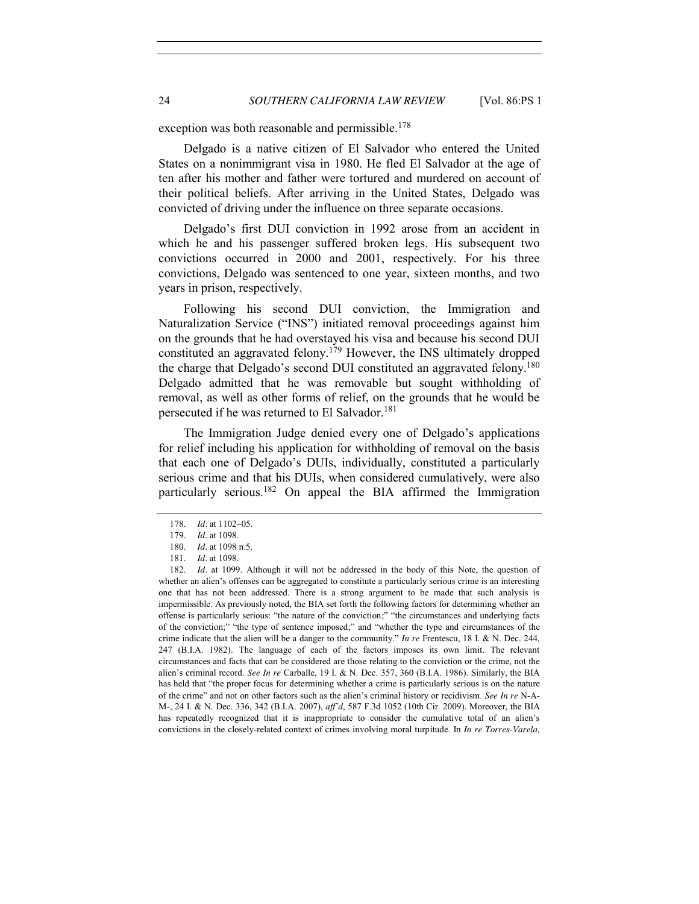exception was both reasonable and permissible.<sup>178</sup>

Delgado is a native citizen of El Salvador who entered the United States on a nonimmigrant visa in 1980. He fled El Salvador at the age of ten after his mother and father were tortured and murdered on account of their political beliefs. After arriving in the United States, Delgado was convicted of driving under the influence on three separate occasions.

Delgado's first DUI conviction in 1992 arose from an accident in which he and his passenger suffered broken legs. His subsequent two convictions occurred in 2000 and 2001, respectively. For his three convictions, Delgado was sentenced to one year, sixteen months, and two years in prison, respectively.

Following his second DUI conviction, the Immigration and Naturalization Service ("INS") initiated removal proceedings against him on the grounds that he had overstayed his visa and because his second DUI constituted an aggravated felony.<sup>179</sup> However, the INS ultimately dropped the charge that Delgado's second DUI constituted an aggravated felony.<sup>180</sup> Delgado admitted that he was removable but sought withholding of removal, as well as other forms of relief, on the grounds that he would be persecuted if he was returned to El Salvador.<sup>181</sup>

The Immigration Judge denied every one of Delgado's applications for relief including his application for withholding of removal on the basis that each one of Delgado's DUIs, individually, constituted a particularly serious crime and that his DUIs, when considered cumulatively, were also particularly serious.182 On appeal the BIA affirmed the Immigration

<sup>178.</sup> *Id.* at 1102–05.

<sup>179.</sup> *Id.* at 1098.

<sup>180.</sup> *Id.* at 1098 n.5.

<sup>181.</sup> *Id.* at 1098.

<sup>182.</sup> *Id.* at 1099. Although it will not be addressed in the body of this Note, the question of whether an alien's offenses can be aggregated to constitute a particularly serious crime is an interesting one that has not been addressed. There is a strong argument to be made that such analysis is impermissible. As previously noted, the BIA set forth the following factors for determining whether an offense is particularly serious: "the nature of the conviction;" "the circumstances and underlying facts of the conviction;" "the type of sentence imposed;" and "whether the type and circumstances of the crime indicate that the alien will be a danger to the community." *In re* Frentescu, 18 I. & N. Dec. 244, 247 (B.I.A. 1982). The language of each of the factors imposes its own limit. The relevant circumstances and facts that can be considered are those relating to the conviction or the crime, not the alien's criminal record. *See In re* Carballe, 19 I. & N. Dec. 357, 360 (B.I.A. 1986). Similarly, the BIA has held that "the proper focus for determining whether a crime is particularly serious is on the nature of the crime" and not on other factors such as the alien's criminal history or recidivism. *See In re* N-A-M-, 24 I. & N. Dec. 336, 342 (B.I.A. 2007), *aff'd*, 587 F.3d 1052 (10th Cir. 2009). Moreover, the BIA has repeatedly recognized that it is inappropriate to consider the cumulative total of an alien's convictions in the closely-related context of crimes involving moral turpitude. In *In re Torres-Varela*,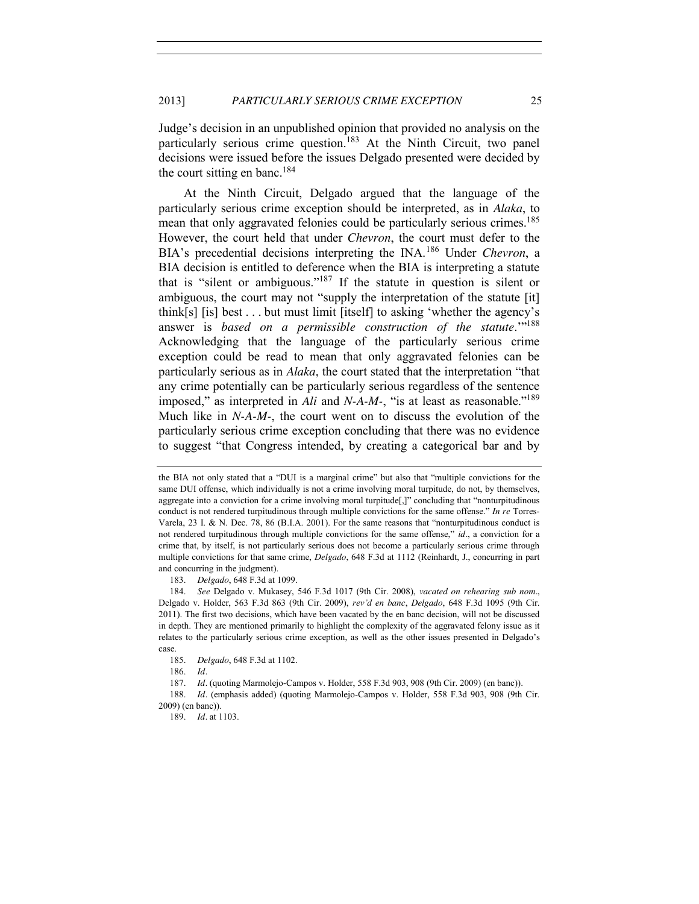Judge's decision in an unpublished opinion that provided no analysis on the particularly serious crime question.<sup>183</sup> At the Ninth Circuit, two panel decisions were issued before the issues Delgado presented were decided by the court sitting en banc.<sup>184</sup>

At the Ninth Circuit, Delgado argued that the language of the particularly serious crime exception should be interpreted, as in *Alaka*, to mean that only aggravated felonies could be particularly serious crimes.<sup>185</sup> However, the court held that under *Chevron*, the court must defer to the BIA's precedential decisions interpreting the INA.<sup>186</sup> Under *Chevron*, a BIA decision is entitled to deference when the BIA is interpreting a statute that is "silent or ambiguous."<sup>187</sup> If the statute in question is silent or ambiguous, the court may not "supply the interpretation of the statute [it] think[s] [is] best . . . but must limit [itself] to asking 'whether the agency's answer is *based on a permissible construction of the statute*."<sup>188</sup> Acknowledging that the language of the particularly serious crime exception could be read to mean that only aggravated felonies can be particularly serious as in *Alaka*, the court stated that the interpretation "that any crime potentially can be particularly serious regardless of the sentence imposed," as interpreted in *Ali* and *N-A-M-*, "is at least as reasonable."<sup>189</sup> Much like in *N-A-M-*, the court went on to discuss the evolution of the particularly serious crime exception concluding that there was no evidence to suggest "that Congress intended, by creating a categorical bar and by

183. *Delgado*, 648 F.3d at 1099.

184. *See* Delgado v. Mukasey, 546 F.3d 1017 (9th Cir. 2008), *vacated on rehearing sub nom.*, Delgado v. Holder, 563 F.3d 863 (9th Cir. 2009), *rev'd en banc*, *Delgado*, 648 F.3d 1095 (9th Cir. 2011). The first two decisions, which have been vacated by the en banc decision, will not be discussed in depth. They are mentioned primarily to highlight the complexity of the aggravated felony issue as it relates to the particularly serious crime exception, as well as the other issues presented in Delgado's case.

185. *Delgado*, 648 F.3d at 1102.

186. *Id.*

187. *Id.* (quoting Marmolejo-Campos v. Holder, 558 F.3d 903, 908 (9th Cir. 2009) (en banc)).

188. *Id.* (emphasis added) (quoting Marmolejo-Campos v. Holder, 558 F.3d 903, 908 (9th Cir. 2009) (en banc)).

189. *Id.* at 1103.

the BIA not only stated that a "DUI is a marginal crime" but also that "multiple convictions for the same DUI offense, which individually is not a crime involving moral turpitude, do not, by themselves, aggregate into a conviction for a crime involving moral turpitude[,]" concluding that "nonturpitudinous conduct is not rendered turpitudinous through multiple convictions for the same offense." *In re* Torres-Varela, 23 I. & N. Dec. 78, 86 (B.I.A. 2001). For the same reasons that "nonturpitudinous conduct is not rendered turpitudinous through multiple convictions for the same offense," *id.*, a conviction for a crime that, by itself, is not particularly serious does not become a particularly serious crime through multiple convictions for that same crime, *Delgado*, 648 F.3d at 1112 (Reinhardt, J., concurring in part and concurring in the judgment).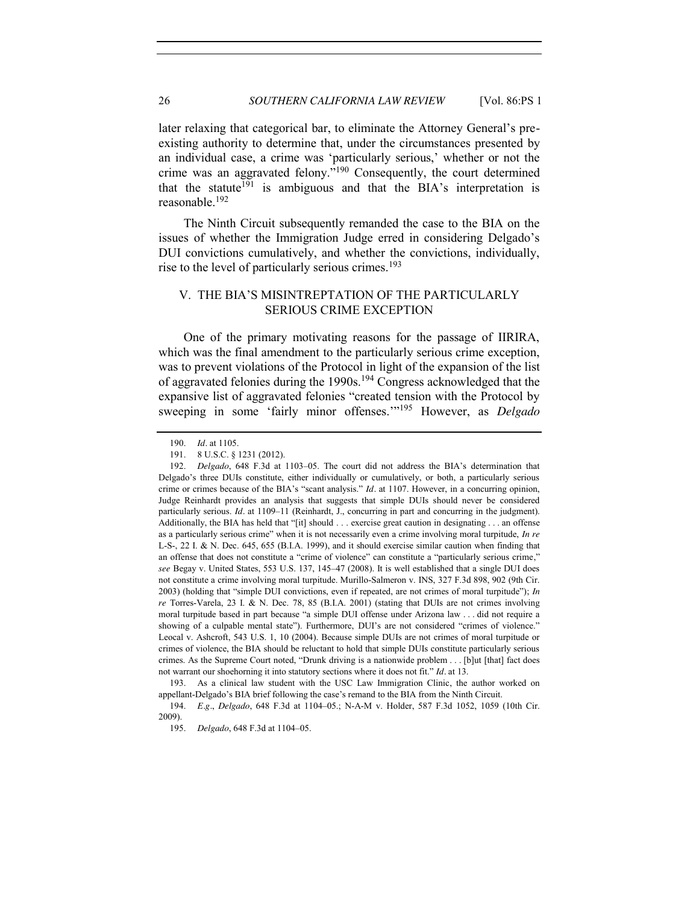later relaxing that categorical bar, to eliminate the Attorney General's preexisting authority to determine that, under the circumstances presented by an individual case, a crime was 'particularly serious,' whether or not the crime was an aggravated felony."<sup>190</sup> Consequently, the court determined that the statute<sup>191</sup> is ambiguous and that the BIA's interpretation is reasonable.192

The Ninth Circuit subsequently remanded the case to the BIA on the issues of whether the Immigration Judge erred in considering Delgado's DUI convictions cumulatively, and whether the convictions, individually, rise to the level of particularly serious crimes.<sup>193</sup>

## <span id="page-25-0"></span>V. THE BIA'S MISINTREPTATION OF THE PARTICULARLY SERIOUS CRIME EXCEPTION

One of the primary motivating reasons for the passage of IIRIRA, which was the final amendment to the particularly serious crime exception, was to prevent violations of the Protocol in light of the expansion of the list of aggravated felonies during the 1990s.<sup>194</sup> Congress acknowledged that the expansive list of aggravated felonies "created tension with the Protocol by sweeping in some 'fairly minor offenses.'"<sup>195</sup> However, as *Delgado*

<sup>190.</sup> *Id.* at 1105.

<sup>191.</sup> 8 U.S.C. § 1231 (2012).

<sup>192.</sup> *Delgado*, 648 F.3d at 1103–05. The court did not address the BIA's determination that Delgado's three DUIs constitute, either individually or cumulatively, or both, a particularly serious crime or crimes because of the BIA's "scant analysis." *Id.* at 1107. However, in a concurring opinion, Judge Reinhardt provides an analysis that suggests that simple DUIs should never be considered particularly serious. *Id.* at 1109–11 (Reinhardt, J., concurring in part and concurring in the judgment). Additionally, the BIA has held that "[it] should . . . exercise great caution in designating . . . an offense as a particularly serious crime" when it is not necessarily even a crime involving moral turpitude, *In re* L-S-, 22 I. & N. Dec. 645, 655 (B.I.A. 1999), and it should exercise similar caution when finding that an offense that does not constitute a "crime of violence" can constitute a "particularly serious crime," *see* Begay v. United States, 553 U.S. 137, 145–47 (2008). It is well established that a single DUI does not constitute a crime involving moral turpitude. Murillo-Salmeron v. INS, 327 F.3d 898, 902 (9th Cir. 2003) (holding that "simple DUI convictions, even if repeated, are not crimes of moral turpitude"); *In re* Torres-Varela, 23 I. & N. Dec. 78, 85 (B.I.A. 2001) (stating that DUIs are not crimes involving moral turpitude based in part because "a simple DUI offense under Arizona law . . . did not require a showing of a culpable mental state"). Furthermore, DUI's are not considered "crimes of violence." Leocal v. Ashcroft, 543 U.S. 1, 10 (2004). Because simple DUIs are not crimes of moral turpitude or crimes of violence, the BIA should be reluctant to hold that simple DUIs constitute particularly serious crimes. As the Supreme Court noted, "Drunk driving is a nationwide problem . . . [b]ut [that] fact does not warrant our shoehorning it into statutory sections where it does not fit." *Id.* at 13.

<sup>193.</sup> As a clinical law student with the USC Law Immigration Clinic, the author worked on appellant-Delgado's BIA brief following the case's remand to the BIA from the Ninth Circuit.

<sup>194.</sup> *E.g.*, *Delgado*, 648 F.3d at 1104–05.; N-A-M v. Holder, 587 F.3d 1052, 1059 (10th Cir. 2009).

<sup>195.</sup> *Delgado*, 648 F.3d at 1104–05.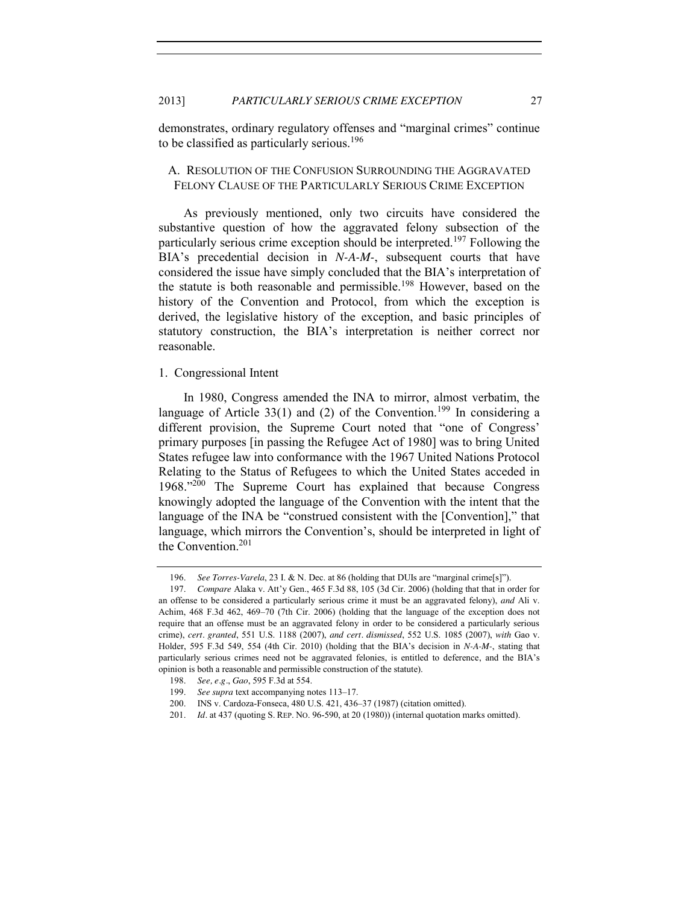demonstrates, ordinary regulatory offenses and "marginal crimes" continue to be classified as particularly serious.<sup>196</sup>

## <span id="page-26-0"></span>A. RESOLUTION OF THE CONFUSION SURROUNDING THE AGGRAVATED FELONY CLAUSE OF THE PARTICULARLY SERIOUS CRIME EXCEPTION

As previously mentioned, only two circuits have considered the substantive question of how the aggravated felony subsection of the particularly serious crime exception should be interpreted.<sup>197</sup> Following the BIA's precedential decision in *N-A-M-*, subsequent courts that have considered the issue have simply concluded that the BIA's interpretation of the statute is both reasonable and permissible.<sup>198</sup> However, based on the history of the Convention and Protocol, from which the exception is derived, the legislative history of the exception, and basic principles of statutory construction, the BIA's interpretation is neither correct nor reasonable.

#### <span id="page-26-1"></span>1. Congressional Intent

In 1980, Congress amended the INA to mirror, almost verbatim, the language of Article 33(1) and (2) of the Convention.<sup>199</sup> In considering a different provision, the Supreme Court noted that "one of Congress' primary purposes [in passing the Refugee Act of 1980] was to bring United States refugee law into conformance with the 1967 United Nations Protocol Relating to the Status of Refugees to which the United States acceded in 1968."<sup>200</sup> The Supreme Court has explained that because Congress knowingly adopted the language of the Convention with the intent that the language of the INA be "construed consistent with the [Convention]," that language, which mirrors the Convention's, should be interpreted in light of the Convention.201

<sup>196.</sup> *See Torres-Varela*, 23 I. & N. Dec. at 86 (holding that DUIs are "marginal crime[s]").

<sup>197.</sup> *Compare* Alaka v. Att'y Gen., 465 F.3d 88, 105 (3d Cir. 2006) (holding that that in order for an offense to be considered a particularly serious crime it must be an aggravated felony), *and* Ali v. Achim, 468 F.3d 462, 469–70 (7th Cir. 2006) (holding that the language of the exception does not require that an offense must be an aggravated felony in order to be considered a particularly serious crime), *cert. granted*, 551 U.S. 1188 (2007), *and cert. dismissed*, 552 U.S. 1085 (2007), *with* Gao v. Holder, 595 F.3d 549, 554 (4th Cir. 2010) (holding that the BIA's decision in *N-A-M-*, stating that particularly serious crimes need not be aggravated felonies, is entitled to deference, and the BIA's opinion is both a reasonable and permissible construction of the statute).

<sup>198.</sup> *See, e.g.*, *Gao*, 595 F.3d at 554.

<sup>199.</sup> *See supra* text accompanying notes [113](#page-15-1)–17.

<sup>200.</sup> INS v. Cardoza-Fonseca, 480 U.S. 421, 436–37 (1987) (citation omitted).

<sup>201.</sup> *Id.* at 437 (quoting S. REP. NO. 96-590, at 20 (1980)) (internal quotation marks omitted).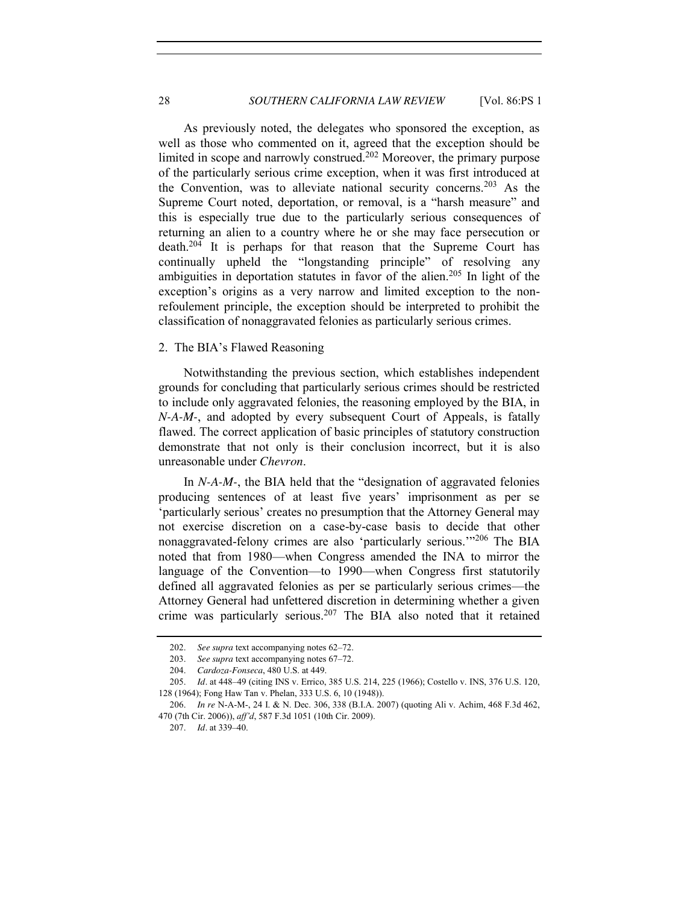As previously noted, the delegates who sponsored the exception, as well as those who commented on it, agreed that the exception should be limited in scope and narrowly construed.<sup>202</sup> Moreover, the primary purpose of the particularly serious crime exception, when it was first introduced at the Convention, was to alleviate national security concerns.<sup>203</sup> As the Supreme Court noted, deportation, or removal, is a "harsh measure" and this is especially true due to the particularly serious consequences of returning an alien to a country where he or she may face persecution or death.204 It is perhaps for that reason that the Supreme Court has continually upheld the "longstanding principle" of resolving any ambiguities in deportation statutes in favor of the alien.<sup>205</sup> In light of the exception's origins as a very narrow and limited exception to the nonrefoulement principle, the exception should be interpreted to prohibit the classification of nonaggravated felonies as particularly serious crimes.

## <span id="page-27-0"></span>2. The BIA's Flawed Reasoning

Notwithstanding the previous section, which establishes independent grounds for concluding that particularly serious crimes should be restricted to include only aggravated felonies, the reasoning employed by the BIA, in *N-A-M-*, and adopted by every subsequent Court of Appeals, is fatally flawed. The correct application of basic principles of statutory construction demonstrate that not only is their conclusion incorrect, but it is also unreasonable under *Chevron*.

In *N-A-M-*, the BIA held that the "designation of aggravated felonies producing sentences of at least five years' imprisonment as per se 'particularly serious' creates no presumption that the Attorney General may not exercise discretion on a case-by-case basis to decide that other nonaggravated-felony crimes are also 'particularly serious.'"<sup>206</sup> The BIA noted that from 1980—when Congress amended the INA to mirror the language of the Convention—to 1990—when Congress first statutorily defined all aggravated felonies as per se particularly serious crimes—the Attorney General had unfettered discretion in determining whether a given crime was particularly serious.<sup>207</sup> The BIA also noted that it retained

207. *Id.* at 339–40.

<sup>202.</sup> *See supra* text accompanying notes [62](#page-8-3)–[72.](#page-10-0)

<sup>203.</sup> *See supra* text accompanying notes [67](#page-9-2)–[72.](#page-10-0)

<sup>204.</sup> *Cardoza-Fonseca*, 480 U.S. at 449.

<sup>205.</sup> *Id.* at 448–49 (citing INS v. Errico, 385 U.S. 214, 225 (1966); Costello v. INS, 376 U.S. 120, 128 (1964); Fong Haw Tan v. Phelan, 333 U.S. 6, 10 (1948)).

<sup>206.</sup> *In re* N-A-M-, 24 I. & N. Dec. 306, 338 (B.I.A. 2007) (quoting Ali v. Achim, 468 F.3d 462, 470 (7th Cir. 2006)), *aff'd*, 587 F.3d 1051 (10th Cir. 2009).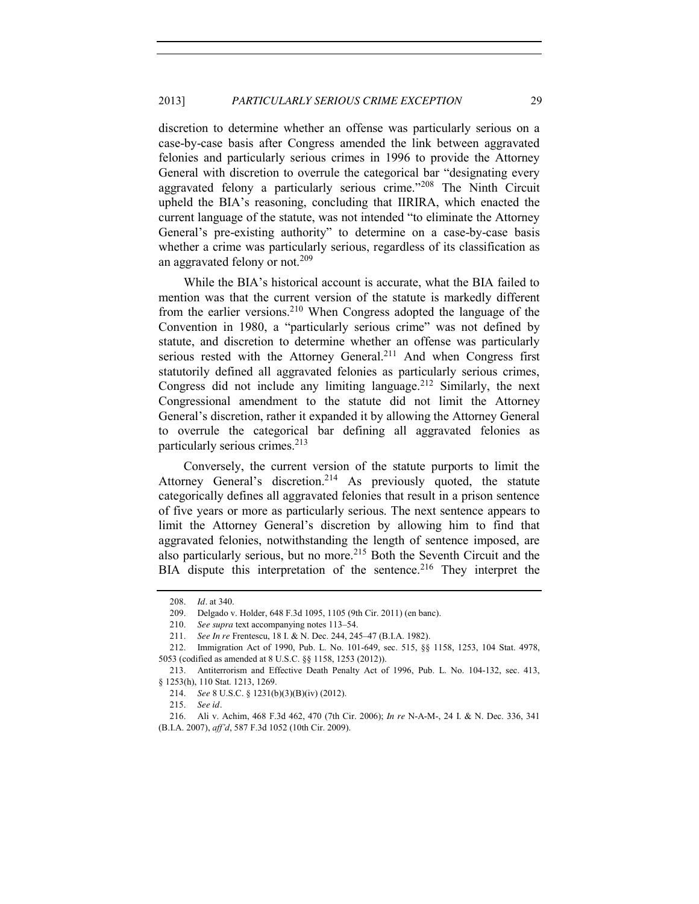discretion to determine whether an offense was particularly serious on a case-by-case basis after Congress amended the link between aggravated felonies and particularly serious crimes in 1996 to provide the Attorney General with discretion to overrule the categorical bar "designating every aggravated felony a particularly serious crime."<sup>208</sup> The Ninth Circuit upheld the BIA's reasoning, concluding that IIRIRA, which enacted the current language of the statute, was not intended "to eliminate the Attorney General's pre-existing authority" to determine on a case-by-case basis whether a crime was particularly serious, regardless of its classification as an aggravated felony or not.<sup>209</sup>

While the BIA's historical account is accurate, what the BIA failed to mention was that the current version of the statute is markedly different from the earlier versions.<sup>210</sup> When Congress adopted the language of the Convention in 1980, a "particularly serious crime" was not defined by statute, and discretion to determine whether an offense was particularly serious rested with the Attorney General.<sup>211</sup> And when Congress first statutorily defined all aggravated felonies as particularly serious crimes, Congress did not include any limiting language.<sup>212</sup> Similarly, the next Congressional amendment to the statute did not limit the Attorney General's discretion, rather it expanded it by allowing the Attorney General to overrule the categorical bar defining all aggravated felonies as particularly serious crimes.<sup>213</sup>

Conversely, the current version of the statute purports to limit the Attorney General's discretion.<sup>214</sup> As previously quoted, the statute categorically defines all aggravated felonies that result in a prison sentence of five years or more as particularly serious. The next sentence appears to limit the Attorney General's discretion by allowing him to find that aggravated felonies, notwithstanding the length of sentence imposed, are also particularly serious, but no more.<sup>215</sup> Both the Seventh Circuit and the BIA dispute this interpretation of the sentence.<sup>216</sup> They interpret the

<sup>208.</sup> *Id.* at 340.

<sup>209.</sup> Delgado v. Holder, 648 F.3d 1095, 1105 (9th Cir. 2011) (en banc).

<sup>210.</sup> *See supra* text accompanying notes [113](#page-15-1)–54.

<sup>211.</sup> *See In re* Frentescu, 18 I. & N. Dec. 244, 245–47 (B.I.A. 1982).

<sup>212.</sup> Immigration Act of 1990, Pub. L. No. 101-649, sec. 515, §§ 1158, 1253, 104 Stat. 4978, 5053 (codified as amended at 8 U.S.C. §§ 1158, 1253 (2012)).

<sup>213.</sup> Antiterrorism and Effective Death Penalty Act of 1996, Pub. L. No. 104-132, sec. 413, § 1253(h), 110 Stat. 1213, 1269.

<sup>214.</sup> *See* 8 U.S.C. § 1231(b)(3)(B)(iv) (2012).

<sup>215.</sup> *See id.*

<sup>216.</sup> Ali v. Achim, 468 F.3d 462, 470 (7th Cir. 2006); *In re* N-A-M-, 24 I. & N. Dec. 336, 341 (B.I.A. 2007), *aff'd*, 587 F.3d 1052 (10th Cir. 2009).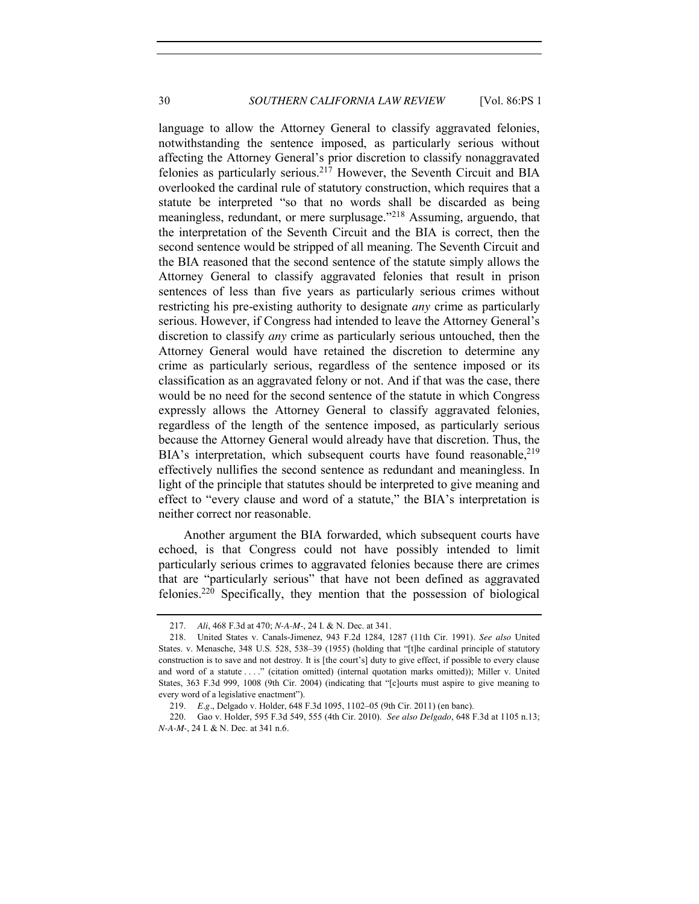language to allow the Attorney General to classify aggravated felonies, notwithstanding the sentence imposed, as particularly serious without affecting the Attorney General's prior discretion to classify nonaggravated felonies as particularly serious.217 However, the Seventh Circuit and BIA overlooked the cardinal rule of statutory construction, which requires that a statute be interpreted "so that no words shall be discarded as being meaningless, redundant, or mere surplusage."<sup>218</sup> Assuming, arguendo, that the interpretation of the Seventh Circuit and the BIA is correct, then the second sentence would be stripped of all meaning. The Seventh Circuit and the BIA reasoned that the second sentence of the statute simply allows the Attorney General to classify aggravated felonies that result in prison sentences of less than five years as particularly serious crimes without restricting his pre-existing authority to designate *any* crime as particularly serious. However, if Congress had intended to leave the Attorney General's discretion to classify *any* crime as particularly serious untouched, then the Attorney General would have retained the discretion to determine any crime as particularly serious, regardless of the sentence imposed or its classification as an aggravated felony or not. And if that was the case, there would be no need for the second sentence of the statute in which Congress expressly allows the Attorney General to classify aggravated felonies, regardless of the length of the sentence imposed, as particularly serious because the Attorney General would already have that discretion. Thus, the BIA's interpretation, which subsequent courts have found reasonable,  $2^{19}$ effectively nullifies the second sentence as redundant and meaningless. In light of the principle that statutes should be interpreted to give meaning and effect to "every clause and word of a statute," the BIA's interpretation is neither correct nor reasonable.

Another argument the BIA forwarded, which subsequent courts have echoed, is that Congress could not have possibly intended to limit particularly serious crimes to aggravated felonies because there are crimes that are "particularly serious" that have not been defined as aggravated felonies.220 Specifically, they mention that the possession of biological

<sup>217.</sup> *Ali*, 468 F.3d at 470; *N-A-M-*, 24 I. & N. Dec. at 341.

<sup>218.</sup> United States v. Canals-Jimenez, 943 F.2d 1284, 1287 (11th Cir. 1991). *See also* United States. v. Menasche, 348 U.S. 528, 538–39 (1955) (holding that "[t]he cardinal principle of statutory construction is to save and not destroy. It is [the court's] duty to give effect, if possible to every clause and word of a statute . . . ." (citation omitted) (internal quotation marks omitted)); Miller v. United States, 363 F.3d 999, 1008 (9th Cir. 2004) (indicating that "[c]ourts must aspire to give meaning to every word of a legislative enactment").

<sup>219.</sup> *E.g.*, Delgado v. Holder, 648 F.3d 1095, 1102–05 (9th Cir. 2011) (en banc).

<sup>220.</sup> Gao v. Holder, 595 F.3d 549, 555 (4th Cir. 2010). *See also Delgado*, 648 F.3d at 1105 n.13; *N-A-M-*, 24 I. & N. Dec. at 341 n.6.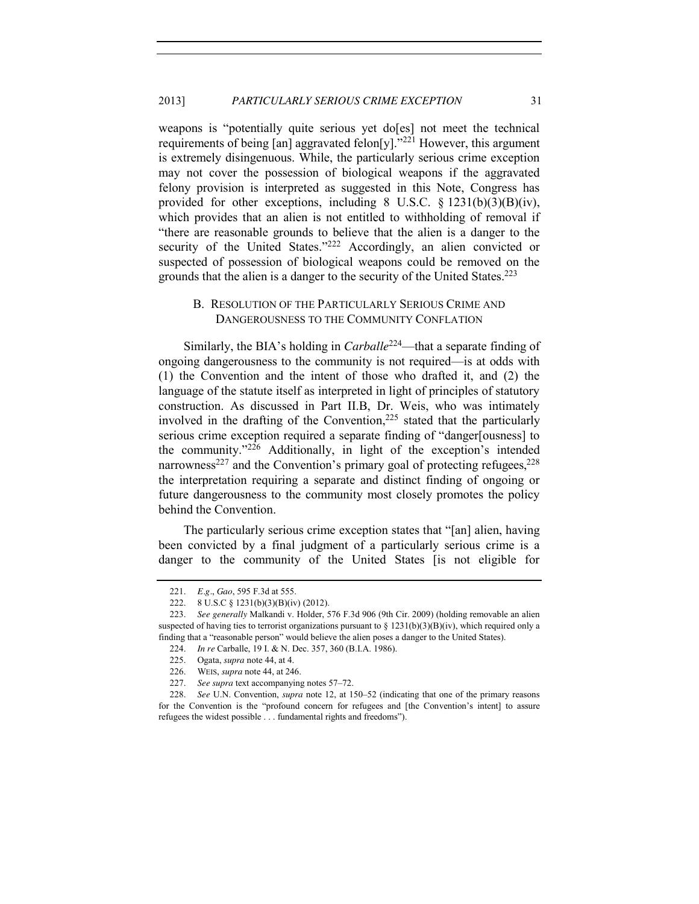weapons is "potentially quite serious yet do[es] not meet the technical requirements of being  $\lceil \text{an} \rceil$  aggravated felon $\lceil y \rceil$ ."<sup>221</sup> However, this argument is extremely disingenuous. While, the particularly serious crime exception may not cover the possession of biological weapons if the aggravated felony provision is interpreted as suggested in this Note, Congress has provided for other exceptions, including 8 U.S.C.  $\S$  1231(b)(3)(B)(iv), which provides that an alien is not entitled to withholding of removal if "there are reasonable grounds to believe that the alien is a danger to the security of the United States."<sup>222</sup> Accordingly, an alien convicted or suspected of possession of biological weapons could be removed on the grounds that the alien is a danger to the security of the United States.<sup>223</sup>

# <span id="page-30-0"></span>B. RESOLUTION OF THE PARTICULARLY SERIOUS CRIME AND DANGEROUSNESS TO THE COMMUNITY CONFLATION

Similarly, the BIA's holding in *Carballe*<sup>224</sup>—that a separate finding of ongoing dangerousness to the community is not required—is at odds with (1) the Convention and the intent of those who drafted it, and (2) the language of the statute itself as interpreted in light of principles of statutory construction. As discussed in Part II.B, Dr. Weis, who was intimately involved in the drafting of the Convention, $225$  stated that the particularly serious crime exception required a separate finding of "danger[ousness] to the community."<sup>226</sup> Additionally, in light of the exception's intended narrowness<sup>227</sup> and the Convention's primary goal of protecting refugees,  $228$ the interpretation requiring a separate and distinct finding of ongoing or future dangerousness to the community most closely promotes the policy behind the Convention.

The particularly serious crime exception states that "[an] alien, having been convicted by a final judgment of a particularly serious crime is a danger to the community of the United States [is not eligible for

<sup>221.</sup> *E.g.*, *Gao*, 595 F.3d at 555.

<sup>222.</sup> 8 U.S.C § 1231(b)(3)(B)(iv) (2012).

<sup>223.</sup> *See generally* Malkandi v. Holder, 576 F.3d 906 (9th Cir. 2009) (holding removable an alien suspected of having ties to terrorist organizations pursuant to  $\S 1231(b)(3)(B)(iv)$ , which required only a finding that a "reasonable person" would believe the alien poses a danger to the United States).

<sup>224.</sup> *In re* Carballe, 19 I. & N. Dec. 357, 360 (B.I.A. 1986).

<sup>225.</sup> Ogata, *supra* not[e 44,](#page-6-3) at 4.

<sup>226.</sup> WEIS, *supra* not[e 44,](#page-6-3) at 246.

<sup>227.</sup> *See supra* text accompanying notes [57](#page-8-1)–[72.](#page-10-0)

<sup>228.</sup> *See* U.N. Convention, *supra* not[e 12,](#page-2-1) at 150–52 (indicating that one of the primary reasons for the Convention is the "profound concern for refugees and [the Convention's intent] to assure refugees the widest possible . . . fundamental rights and freedoms").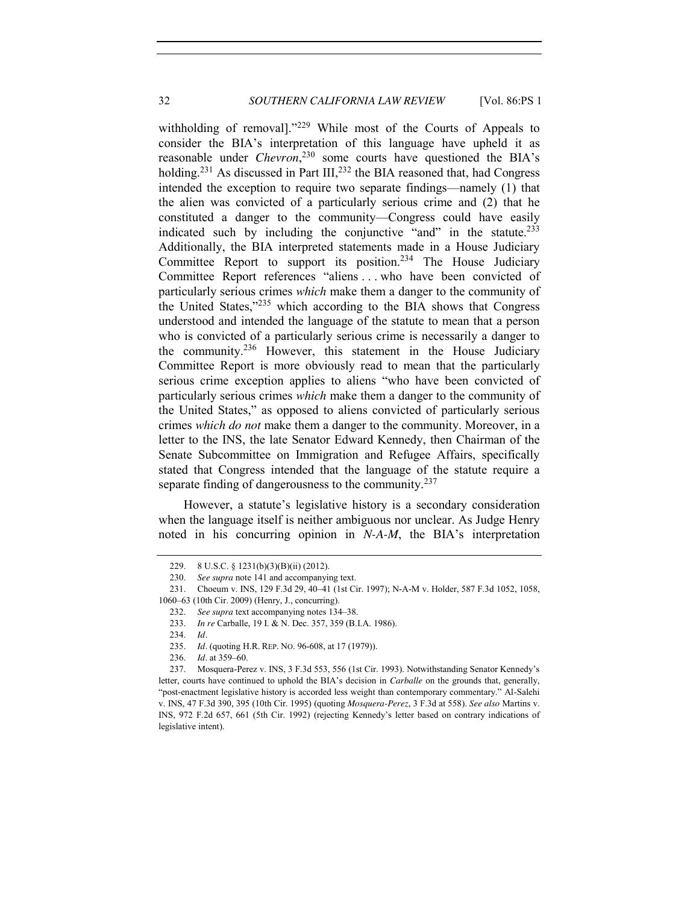withholding of removal]."<sup>229</sup> While most of the Courts of Appeals to consider the BIA's interpretation of this language have upheld it as reasonable under *Chevron*, <sup>230</sup> some courts have questioned the BIA's holding.<sup>231</sup> As discussed in Part III,<sup>232</sup> the BIA reasoned that, had Congress intended the exception to require two separate findings—namely (1) that the alien was convicted of a particularly serious crime and (2) that he constituted a danger to the community—Congress could have easily indicated such by including the conjunctive "and" in the statute.<sup>233</sup> Additionally, the BIA interpreted statements made in a House Judiciary Committee Report to support its position.234 The House Judiciary Committee Report references "aliens . . . who have been convicted of particularly serious crimes *which* make them a danger to the community of the United States,"<sup>235</sup> which according to the BIA shows that Congress understood and intended the language of the statute to mean that a person who is convicted of a particularly serious crime is necessarily a danger to the community.<sup>236</sup> However, this statement in the House Judiciary Committee Report is more obviously read to mean that the particularly serious crime exception applies to aliens "who have been convicted of particularly serious crimes *which* make them a danger to the community of the United States," as opposed to aliens convicted of particularly serious crimes *which do not* make them a danger to the community. Moreover, in a letter to the INS, the late Senator Edward Kennedy, then Chairman of the Senate Subcommittee on Immigration and Refugee Affairs, specifically stated that Congress intended that the language of the statute require a separate finding of dangerousness to the community.<sup>237</sup>

However, a statute's legislative history is a secondary consideration when the language itself is neither ambiguous nor unclear. As Judge Henry noted in his concurring opinion in *N-A-M*, the BIA's interpretation

<sup>229.</sup> 8 U.S.C. § 1231(b)(3)(B)(ii) (2012).

<sup>230.</sup> *See supra* not[e 141](#page-18-0) and accompanying text.

<sup>231.</sup> Choeum v. INS, 129 F.3d 29, 40–41 (1st Cir. 1997); N-A-M v. Holder, 587 F.3d 1052, 1058, 1060–63 (10th Cir. 2009) (Henry, J., concurring).

<sup>232.</sup> *See supra* text accompanying notes [134](#page-17-0)–38.

<sup>233.</sup> *In re* Carballe, 19 I. & N. Dec. 357, 359 (B.I.A. 1986).

<sup>234.</sup> *Id.*

<sup>235.</sup> *Id.* (quoting H.R. REP. NO. 96-608, at 17 (1979)).

<sup>236.</sup> *Id.* at 359–60.

<sup>237.</sup> Mosquera-Perez v. INS, 3 F.3d 553, 556 (1st Cir. 1993). Notwithstanding Senator Kennedy's letter, courts have continued to uphold the BIA's decision in *Carballe* on the grounds that, generally, "post-enactment legislative history is accorded less weight than contemporary commentary." Al-Salehi v. INS, 47 F.3d 390, 395 (10th Cir. 1995) (quoting *Mosquera-Perez*, 3 F.3d at 558). *See also* Martins v. INS, 972 F.2d 657, 661 (5th Cir. 1992) (rejecting Kennedy's letter based on contrary indications of legislative intent).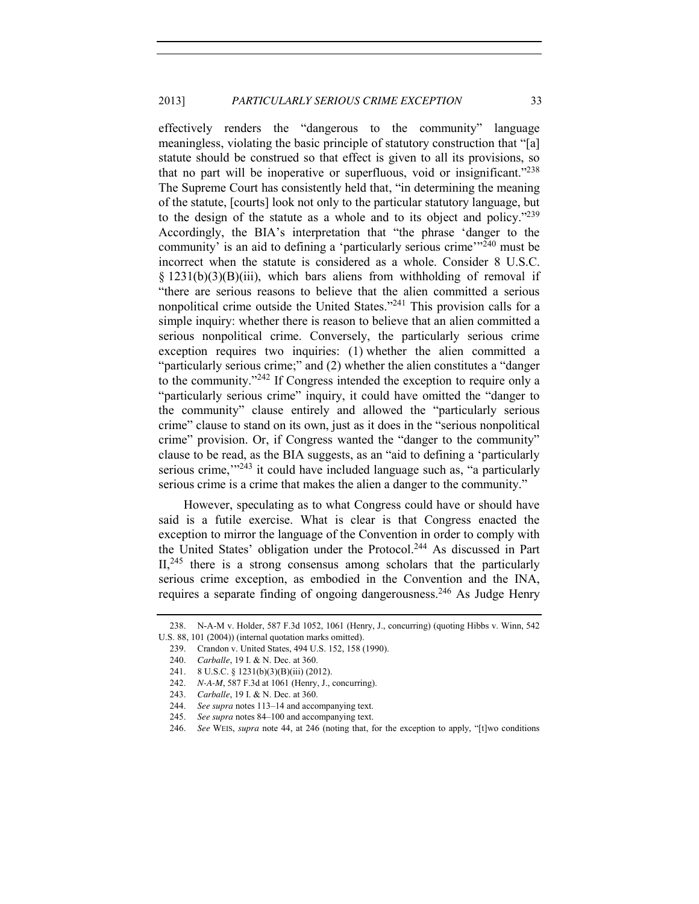effectively renders the "dangerous to the community" language meaningless, violating the basic principle of statutory construction that "[a] statute should be construed so that effect is given to all its provisions, so that no part will be inoperative or superfluous, void or insignificant."<sup>238</sup> The Supreme Court has consistently held that, "in determining the meaning of the statute, [courts] look not only to the particular statutory language, but to the design of the statute as a whole and to its object and policy."<sup>239</sup> Accordingly, the BIA's interpretation that "the phrase 'danger to the community' is an aid to defining a 'particularly serious crime'"<sup>240</sup> must be incorrect when the statute is considered as a whole. Consider 8 U.S.C.  $\S$  1231(b)(3)(B)(iii), which bars aliens from withholding of removal if "there are serious reasons to believe that the alien committed a serious nonpolitical crime outside the United States."<sup>241</sup> This provision calls for a simple inquiry: whether there is reason to believe that an alien committed a serious nonpolitical crime. Conversely, the particularly serious crime exception requires two inquiries: (1) whether the alien committed a "particularly serious crime;" and (2) whether the alien constitutes a "danger to the community."<sup>242</sup> If Congress intended the exception to require only a "particularly serious crime" inquiry, it could have omitted the "danger to the community" clause entirely and allowed the "particularly serious crime" clause to stand on its own, just as it does in the "serious nonpolitical crime" provision. Or, if Congress wanted the "danger to the community" clause to be read, as the BIA suggests, as an "aid to defining a 'particularly serious crime,<sup>"243</sup> it could have included language such as, "a particularly serious crime is a crime that makes the alien a danger to the community."

However, speculating as to what Congress could have or should have said is a futile exercise. What is clear is that Congress enacted the exception to mirror the language of the Convention in order to comply with the United States' obligation under the Protocol.<sup>244</sup> As discussed in Part II,<sup>245</sup> there is a strong consensus among scholars that the particularly serious crime exception, as embodied in the Convention and the INA, requires a separate finding of ongoing dangerousness.<sup>246</sup> As Judge Henry

<sup>238.</sup> N-A-M v. Holder, 587 F.3d 1052, 1061 (Henry, J., concurring) (quoting Hibbs v. Winn, 542 U.S. 88, 101 (2004)) (internal quotation marks omitted).

<sup>239.</sup> Crandon v. United States, 494 U.S. 152, 158 (1990).

<sup>240.</sup> *Carballe*, 19 I. & N. Dec. at 360.

<sup>241.</sup> 8 U.S.C. § 1231(b)(3)(B)(iii) (2012).

<sup>242.</sup> *N-A-M*, 587 F.3d at 1061 (Henry, J., concurring).

<sup>243.</sup> *Carballe*, 19 I. & N. Dec. at 360.

<sup>244.</sup> *See supra* note[s 113](#page-15-1)–14 and accompanying text.

<sup>245.</sup> *See supra* note[s 84](#page-11-2)–[100](#page-13-2) and accompanying text.

<sup>246.</sup> *See* WEIS, *supra* note [44,](#page-6-3) at 246 (noting that, for the exception to apply, "[t]wo conditions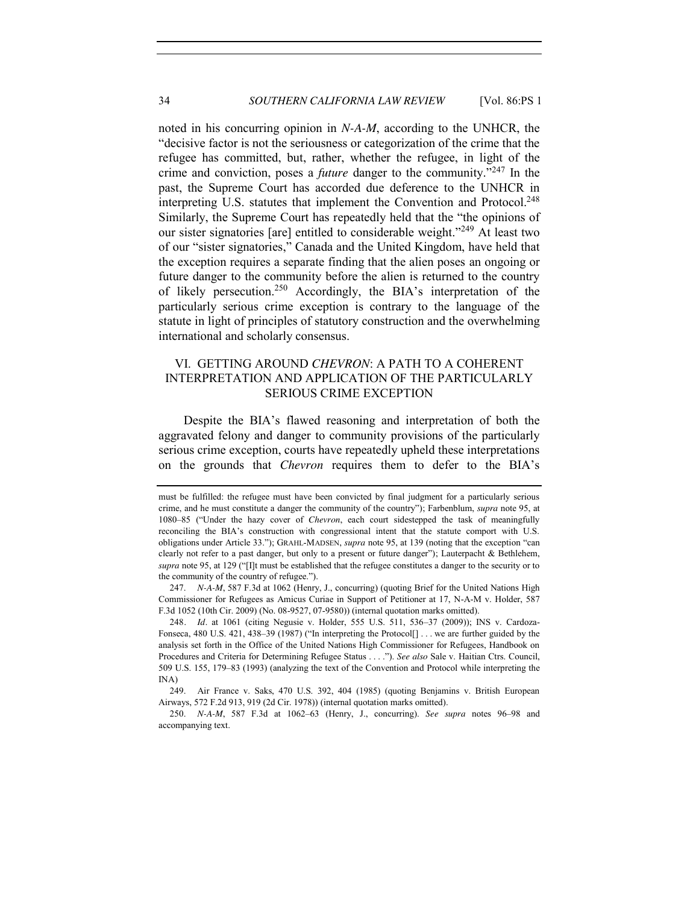noted in his concurring opinion in *N-A-M*, according to the UNHCR, the "decisive factor is not the seriousness or categorization of the crime that the refugee has committed, but, rather, whether the refugee, in light of the crime and conviction, poses a *future* danger to the community."<sup>247</sup> In the past, the Supreme Court has accorded due deference to the UNHCR in interpreting U.S. statutes that implement the Convention and Protocol.<sup>248</sup> Similarly, the Supreme Court has repeatedly held that the "the opinions of our sister signatories [are] entitled to considerable weight."<sup>249</sup> At least two of our "sister signatories," Canada and the United Kingdom, have held that the exception requires a separate finding that the alien poses an ongoing or future danger to the community before the alien is returned to the country of likely persecution.<sup>250</sup> Accordingly, the BIA's interpretation of the particularly serious crime exception is contrary to the language of the statute in light of principles of statutory construction and the overwhelming international and scholarly consensus.

# <span id="page-33-0"></span>VI. GETTING AROUND *CHEVRON*: A PATH TO A COHERENT INTERPRETATION AND APPLICATION OF THE PARTICULARLY SERIOUS CRIME EXCEPTION

Despite the BIA's flawed reasoning and interpretation of both the aggravated felony and danger to community provisions of the particularly serious crime exception, courts have repeatedly upheld these interpretations on the grounds that *Chevron* requires them to defer to the BIA's

must be fulfilled: the refugee must have been convicted by final judgment for a particularly serious crime, and he must constitute a danger the community of the country"); Farbenblum, *supra* note [95,](#page-12-0) at 1080–85 ("Under the hazy cover of *Chevron*, each court sidestepped the task of meaningfully reconciling the BIA's construction with congressional intent that the statute comport with U.S. obligations under Article 33."); GRAHL-MADSEN, *supra* not[e 95,](#page-12-0) at 139 (noting that the exception "can clearly not refer to a past danger, but only to a present or future danger"); Lauterpacht & Bethlehem, *supra* not[e 95,](#page-12-0) at 129 ("[I]t must be established that the refugee constitutes a danger to the security or to the community of the country of refugee.").

<sup>247.</sup> *N-A-M*, 587 F.3d at 1062 (Henry, J., concurring) (quoting Brief for the United Nations High Commissioner for Refugees as Amicus Curiae in Support of Petitioner at 17, N-A-M v. Holder, 587 F.3d 1052 (10th Cir. 2009) (No. 08-9527, 07-9580)) (internal quotation marks omitted).

<sup>248</sup>*. Id.* at 1061 (citing Negusie v. Holder, 555 U.S. 511, 536–37 (2009)); INS v. Cardoza-Fonseca, 480 U.S. 421, 438-39 (1987) ("In interpreting the Protocol[] . . . we are further guided by the analysis set forth in the Office of the United Nations High Commissioner for Refugees, Handbook on Procedures and Criteria for Determining Refugee Status . . . ."). *See also* Sale v. Haitian Ctrs. Council, 509 U.S. 155, 179–83 (1993) (analyzing the text of the Convention and Protocol while interpreting the INA)

<sup>249.</sup> Air France v. Saks, 470 U.S. 392, 404 (1985) (quoting Benjamins v. British European Airways, 572 F.2d 913, 919 (2d Cir. 1978)) (internal quotation marks omitted).

<sup>250.</sup> *N-A-M*, 587 F.3d at 1062–63 (Henry, J., concurring). *See supra* notes [96](#page-12-1)–[98](#page-13-5) and accompanying text.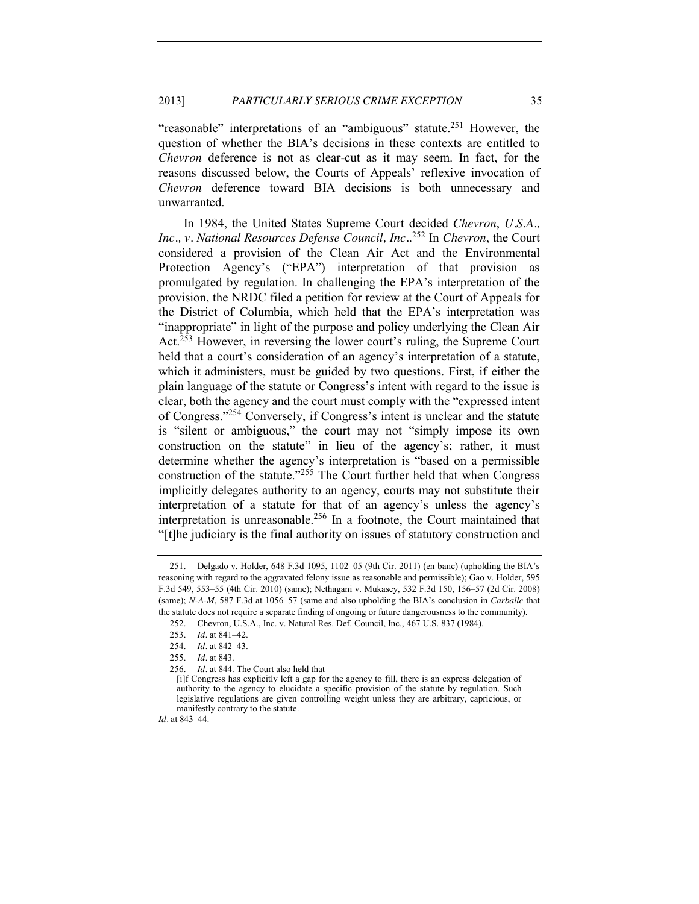"reasonable" interpretations of an "ambiguous" statute.<sup>251</sup> However, the question of whether the BIA's decisions in these contexts are entitled to *Chevron* deference is not as clear-cut as it may seem. In fact, for the reasons discussed below, the Courts of Appeals' reflexive invocation of *Chevron* deference toward BIA decisions is both unnecessary and unwarranted.

In 1984, the United States Supreme Court decided *Chevron*, *U.S.A., Inc., v. National Resources Defense Council, Inc.*. <sup>252</sup> In *Chevron*, the Court considered a provision of the Clean Air Act and the Environmental Protection Agency's ("EPA") interpretation of that provision as promulgated by regulation. In challenging the EPA's interpretation of the provision, the NRDC filed a petition for review at the Court of Appeals for the District of Columbia, which held that the EPA's interpretation was "inappropriate" in light of the purpose and policy underlying the Clean Air Act.<sup>253</sup> However, in reversing the lower court's ruling, the Supreme Court held that a court's consideration of an agency's interpretation of a statute, which it administers, must be guided by two questions. First, if either the plain language of the statute or Congress's intent with regard to the issue is clear, both the agency and the court must comply with the "expressed intent of Congress."<sup>254</sup> Conversely, if Congress's intent is unclear and the statute is "silent or ambiguous," the court may not "simply impose its own construction on the statute" in lieu of the agency's; rather, it must determine whether the agency's interpretation is "based on a permissible construction of the statute." $255$  The Court further held that when Congress implicitly delegates authority to an agency, courts may not substitute their interpretation of a statute for that of an agency's unless the agency's interpretation is unreasonable.256 In a footnote, the Court maintained that "[t]he judiciary is the final authority on issues of statutory construction and

*Id.* at 843–44.

<sup>251.</sup> Delgado v. Holder, 648 F.3d 1095, 1102–05 (9th Cir. 2011) (en banc) (upholding the BIA's reasoning with regard to the aggravated felony issue as reasonable and permissible); Gao v. Holder, 595 F.3d 549, 553–55 (4th Cir. 2010) (same); Nethagani v. Mukasey, 532 F.3d 150, 156–57 (2d Cir. 2008) (same); *N-A-M*, 587 F.3d at 1056–57 (same and also upholding the BIA's conclusion in *Carballe* that the statute does not require a separate finding of ongoing or future dangerousness to the community).

<sup>252.</sup> Chevron, U.S.A., Inc. v. Natural Res. Def. Council, Inc., 467 U.S. 837 (1984).

<sup>253.</sup> *Id.* at 841–42.

<sup>254.</sup> *Id.* at 842–43.

<sup>255.</sup> *Id.* at 843.

<sup>256.</sup> *Id.* at 844. The Court also held that

<sup>[</sup>i]f Congress has explicitly left a gap for the agency to fill, there is an express delegation of authority to the agency to elucidate a specific provision of the statute by regulation. Such legislative regulations are given controlling weight unless they are arbitrary, capricious, or manifestly contrary to the statute.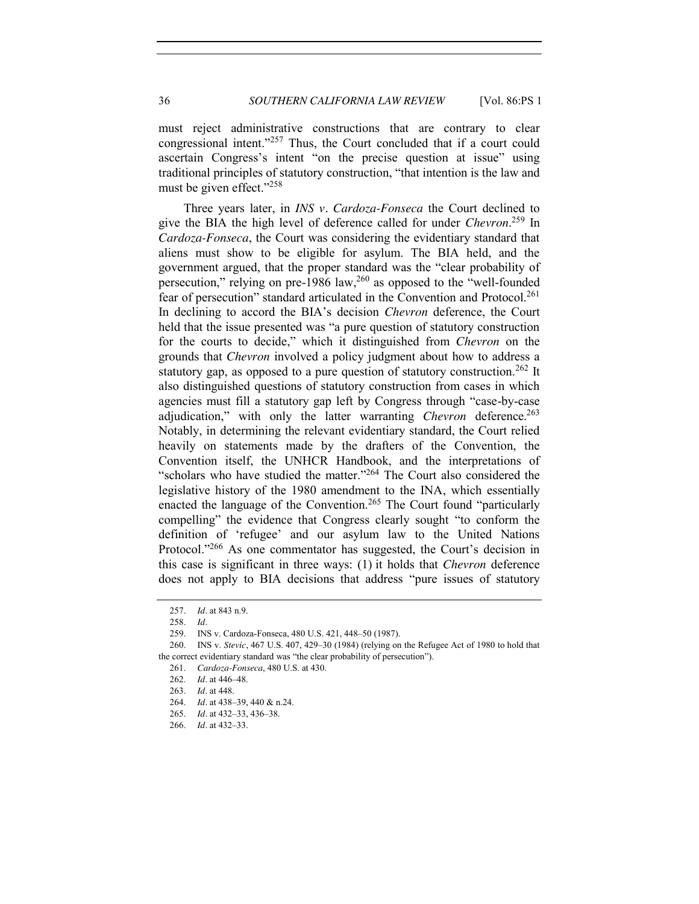must reject administrative constructions that are contrary to clear congressional intent."<sup>257</sup> Thus, the Court concluded that if a court could ascertain Congress's intent "on the precise question at issue" using traditional principles of statutory construction, "that intention is the law and must be given effect."<sup>258</sup>

Three years later, in *INS v. Cardoza-Fonseca* the Court declined to give the BIA the high level of deference called for under *Chevron*. <sup>259</sup> In *Cardoza-Fonseca*, the Court was considering the evidentiary standard that aliens must show to be eligible for asylum. The BIA held, and the government argued, that the proper standard was the "clear probability of persecution," relying on pre-1986 law, $^{260}$  as opposed to the "well-founded" fear of persecution" standard articulated in the Convention and Protocol.<sup>261</sup> In declining to accord the BIA's decision *Chevron* deference, the Court held that the issue presented was "a pure question of statutory construction for the courts to decide," which it distinguished from *Chevron* on the grounds that *Chevron* involved a policy judgment about how to address a statutory gap, as opposed to a pure question of statutory construction.<sup>262</sup> It also distinguished questions of statutory construction from cases in which agencies must fill a statutory gap left by Congress through "case-by-case adjudication," with only the latter warranting *Chevron* deference.<sup>263</sup> Notably, in determining the relevant evidentiary standard, the Court relied heavily on statements made by the drafters of the Convention, the Convention itself, the UNHCR Handbook, and the interpretations of "scholars who have studied the matter."<sup>264</sup> The Court also considered the legislative history of the 1980 amendment to the INA, which essentially enacted the language of the Convention.<sup>265</sup> The Court found "particularly" compelling" the evidence that Congress clearly sought "to conform the definition of 'refugee' and our asylum law to the United Nations Protocol."<sup>266</sup> As one commentator has suggested, the Court's decision in this case is significant in three ways: (1) it holds that *Chevron* deference does not apply to BIA decisions that address "pure issues of statutory

<sup>257.</sup> *Id.* at 843 n.9.

<sup>258.</sup> *Id.*

<sup>259.</sup> INS v. Cardoza-Fonseca, 480 U.S. 421, 448–50 (1987).

<sup>260.</sup> INS v. *Stevic*, 467 U.S. 407, 429–30 (1984) (relying on the Refugee Act of 1980 to hold that the correct evidentiary standard was "the clear probability of persecution").

<sup>261.</sup> *Cardoza-Fonseca*, 480 U.S. at 430.

<sup>262.</sup> *Id.* at 446–48.

<sup>263.</sup> *Id.* at 448.

<sup>264.</sup> *Id.* at 438–39, 440 & n.24.

<sup>265.</sup> *Id.* at 432–33, 436–38.

<sup>266.</sup> *Id.* at 432–33.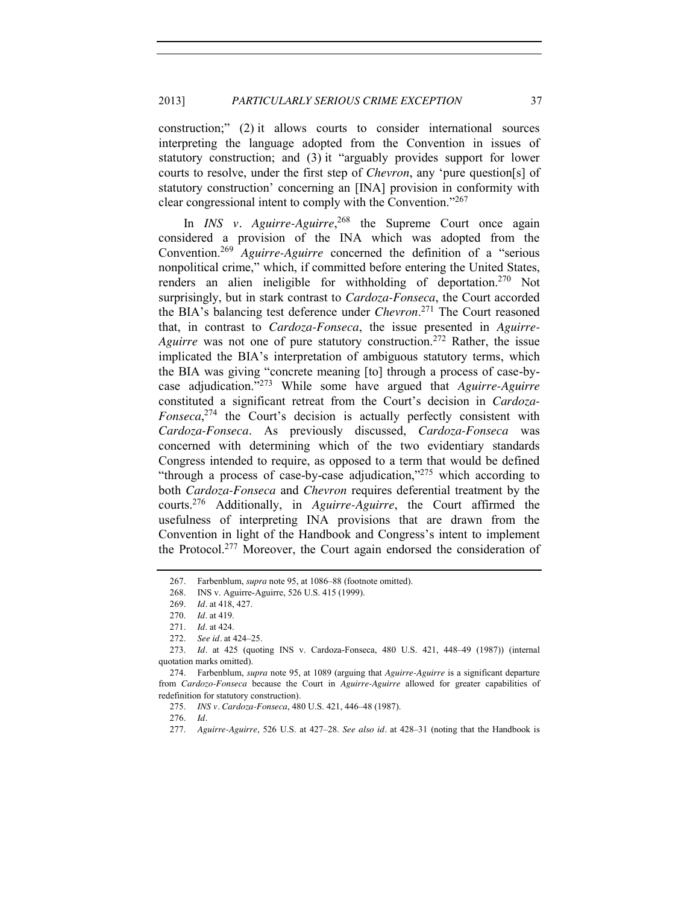construction;" (2) it allows courts to consider international sources interpreting the language adopted from the Convention in issues of statutory construction; and (3) it "arguably provides support for lower courts to resolve, under the first step of *Chevron*, any 'pure question[s] of statutory construction' concerning an [INA] provision in conformity with clear congressional intent to comply with the Convention."<sup>267</sup>

In *INS v. Aguirre-Aguirre*, <sup>268</sup> the Supreme Court once again considered a provision of the INA which was adopted from the Convention.269 *Aguirre-Aguirre* concerned the definition of a "serious nonpolitical crime," which, if committed before entering the United States, renders an alien ineligible for withholding of deportation.<sup>270</sup> Not surprisingly, but in stark contrast to *Cardoza-Fonseca*, the Court accorded the BIA's balancing test deference under *Chevron*. <sup>271</sup> The Court reasoned that, in contrast to *Cardoza-Fonseca*, the issue presented in *Aguirre-Aguirre* was not one of pure statutory construction.<sup>272</sup> Rather, the issue implicated the BIA's interpretation of ambiguous statutory terms, which the BIA was giving "concrete meaning [to] through a process of case-bycase adjudication."<sup>273</sup> While some have argued that *Aguirre-Aguirre* constituted a significant retreat from the Court's decision in *Cardoza-Fonseca*, <sup>274</sup> the Court's decision is actually perfectly consistent with *Cardoza-Fonseca*. As previously discussed, *Cardoza-Fonseca* was concerned with determining which of the two evidentiary standards Congress intended to require, as opposed to a term that would be defined "through a process of case-by-case adjudication,"<sup>275</sup> which according to both *Cardoza-Fonseca* and *Chevron* requires deferential treatment by the courts.276 Additionally, in *Aguirre-Aguirre*, the Court affirmed the usefulness of interpreting INA provisions that are drawn from the Convention in light of the Handbook and Congress's intent to implement the Protocol.277 Moreover, the Court again endorsed the consideration of

<sup>267.</sup> Farbenblum, *supra* not[e 95,](#page-12-0) at 1086–88 (footnote omitted).

<sup>268.</sup> INS v. Aguirre-Aguirre, 526 U.S. 415 (1999).

<sup>269.</sup> *Id.* at 418, 427.

<sup>270.</sup> *Id.* at 419.

<sup>271.</sup> *Id.* at 424.

<sup>272.</sup> *See id.* at 424–25.

<sup>273.</sup> *Id.* at 425 (quoting INS v. Cardoza-Fonseca, 480 U.S. 421, 448–49 (1987)) (internal quotation marks omitted).

<sup>274.</sup> Farbenblum, *supra* note [95,](#page-12-0) at 1089 (arguing that *Aguirre-Aguirre* is a significant departure from *Cardozo-Fonseca* because the Court in *Aguirre-Aguirre* allowed for greater capabilities of redefinition for statutory construction).

<sup>275.</sup> *INS v. Cardoza-Fonseca*, 480 U.S. 421, 446–48 (1987).

<sup>276.</sup> *Id.*

<sup>277.</sup> *Aguirre-Aguirre*, 526 U.S. at 427–28. *See also id.* at 428–31 (noting that the Handbook is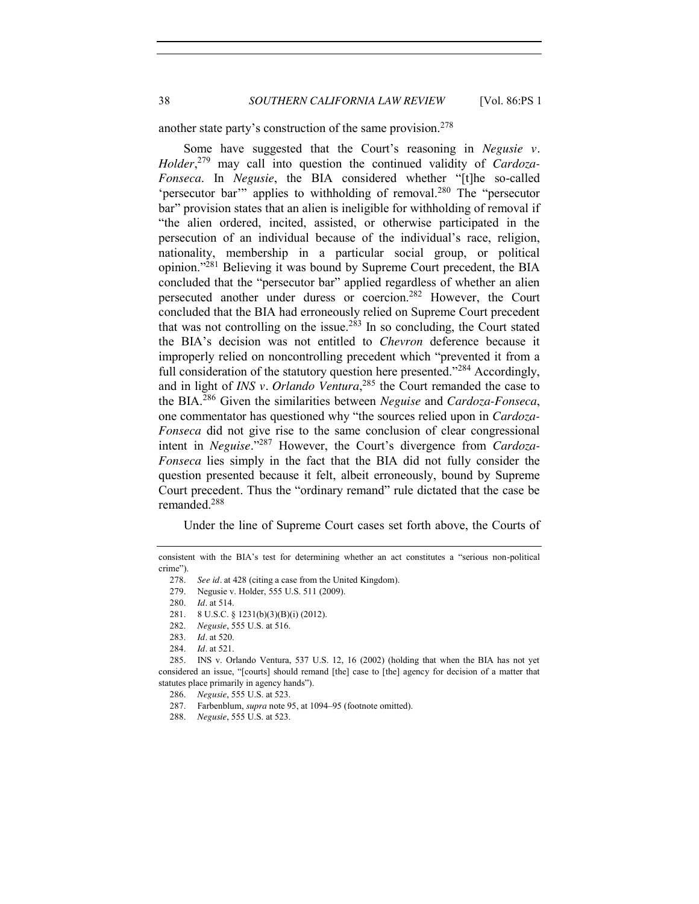38 *SOUTHERN CALIFORNIA LAW REVIEW* [Vol. 86:PS 1

another state party's construction of the same provision.<sup>278</sup>

Some have suggested that the Court's reasoning in *Negusie v. Holder*, <sup>279</sup> may call into question the continued validity of *Cardoza-Fonseca*. In *Negusie*, the BIA considered whether "[t]he so-called 'persecutor bar'" applies to withholding of removal.<sup>280</sup> The "persecutor bar" provision states that an alien is ineligible for withholding of removal if "the alien ordered, incited, assisted, or otherwise participated in the persecution of an individual because of the individual's race, religion, nationality, membership in a particular social group, or political opinion."<sup>281</sup> Believing it was bound by Supreme Court precedent, the BIA concluded that the "persecutor bar" applied regardless of whether an alien persecuted another under duress or coercion.282 However, the Court concluded that the BIA had erroneously relied on Supreme Court precedent that was not controlling on the issue.<sup>283</sup> In so concluding, the Court stated the BIA's decision was not entitled to *Chevron* deference because it improperly relied on noncontrolling precedent which "prevented it from a full consideration of the statutory question here presented."<sup>284</sup> Accordingly, and in light of *INS v. Orlando Ventura*, <sup>285</sup> the Court remanded the case to the BIA.<sup>286</sup> Given the similarities between *Neguise* and *Cardoza-Fonseca*, one commentator has questioned why "the sources relied upon in *Cardoza-Fonseca* did not give rise to the same conclusion of clear congressional intent in *Neguise*."<sup>287</sup> However, the Court's divergence from *Cardoza-Fonseca* lies simply in the fact that the BIA did not fully consider the question presented because it felt, albeit erroneously, bound by Supreme Court precedent. Thus the "ordinary remand" rule dictated that the case be remanded.288

Under the line of Supreme Court cases set forth above, the Courts of

consistent with the BIA's test for determining whether an act constitutes a "serious non-political crime").

<sup>278.</sup> *See id.* at 428 (citing a case from the United Kingdom).

<sup>279.</sup> Negusie v. Holder, 555 U.S. 511 (2009).

<sup>280.</sup> *Id.* at 514.

<sup>281.</sup> 8 U.S.C. § 1231(b)(3)(B)(i) (2012).

<sup>282.</sup> *Negusie*, 555 U.S. at 516.

<sup>283.</sup> *Id.* at 520.

<sup>284.</sup> *Id.* at 521.

<sup>285.</sup> INS v. Orlando Ventura, 537 U.S. 12, 16 (2002) (holding that when the BIA has not yet considered an issue, "[courts] should remand [the] case to [the] agency for decision of a matter that statutes place primarily in agency hands").

<sup>286.</sup> *Negusie*, 555 U.S. at 523.

<sup>287.</sup> Farbenblum, *supra* not[e 95,](#page-12-0) at 1094–95 (footnote omitted).

<sup>288.</sup> *Negusie*, 555 U.S. at 523.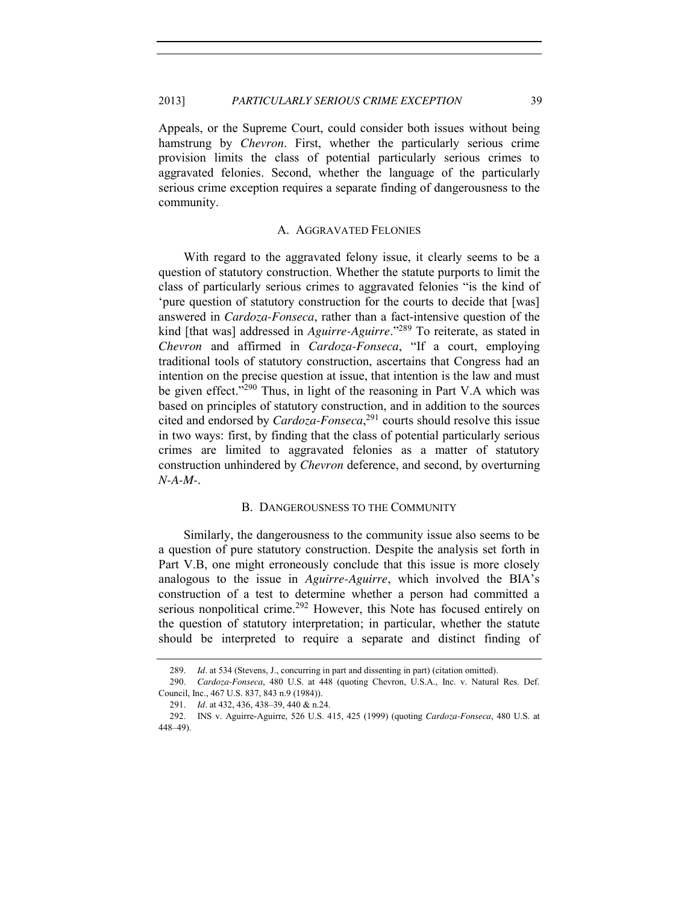Appeals, or the Supreme Court, could consider both issues without being hamstrung by *Chevron*. First, whether the particularly serious crime provision limits the class of potential particularly serious crimes to aggravated felonies. Second, whether the language of the particularly serious crime exception requires a separate finding of dangerousness to the community.

#### A. AGGRAVATED FELONIES

<span id="page-38-0"></span>With regard to the aggravated felony issue, it clearly seems to be a question of statutory construction. Whether the statute purports to limit the class of particularly serious crimes to aggravated felonies "is the kind of 'pure question of statutory construction for the courts to decide that [was] answered in *Cardoza-Fonseca*, rather than a fact-intensive question of the kind [that was] addressed in *Aguirre-Aguirre*."<sup>289</sup> To reiterate, as stated in *Chevron* and affirmed in *Cardoza-Fonseca*, "If a court, employing traditional tools of statutory construction, ascertains that Congress had an intention on the precise question at issue, that intention is the law and must be given effect."<sup>290</sup> Thus, in light of the reasoning in Part V.A which was based on principles of statutory construction, and in addition to the sources cited and endorsed by *Cardoza-Fonseca*, <sup>291</sup> courts should resolve this issue in two ways: first, by finding that the class of potential particularly serious crimes are limited to aggravated felonies as a matter of statutory construction unhindered by *Chevron* deference, and second, by overturning *N-A-M-*.

#### B. DANGEROUSNESS TO THE COMMUNITY

<span id="page-38-1"></span>Similarly, the dangerousness to the community issue also seems to be a question of pure statutory construction. Despite the analysis set forth in Part V.B, one might erroneously conclude that this issue is more closely analogous to the issue in *Aguirre-Aguirre*, which involved the BIA's construction of a test to determine whether a person had committed a serious nonpolitical crime.<sup>292</sup> However, this Note has focused entirely on the question of statutory interpretation; in particular, whether the statute should be interpreted to require a separate and distinct finding of

<sup>289.</sup> *Id.* at 534 (Stevens, J., concurring in part and dissenting in part) (citation omitted).

<sup>290.</sup> *Cardoza-Fonseca*, 480 U.S. at 448 (quoting Chevron, U.S.A., Inc. v. Natural Res. Def. Council, Inc., 467 U.S. 837, 843 n.9 (1984)).

<sup>291.</sup> *Id.* at 432, 436, 438-39, 440 & n.24.

<sup>292.</sup> INS v. Aguirre-Aguirre, 526 U.S. 415, 425 (1999) (quoting *Cardoza-Fonseca*, 480 U.S. at 448–49).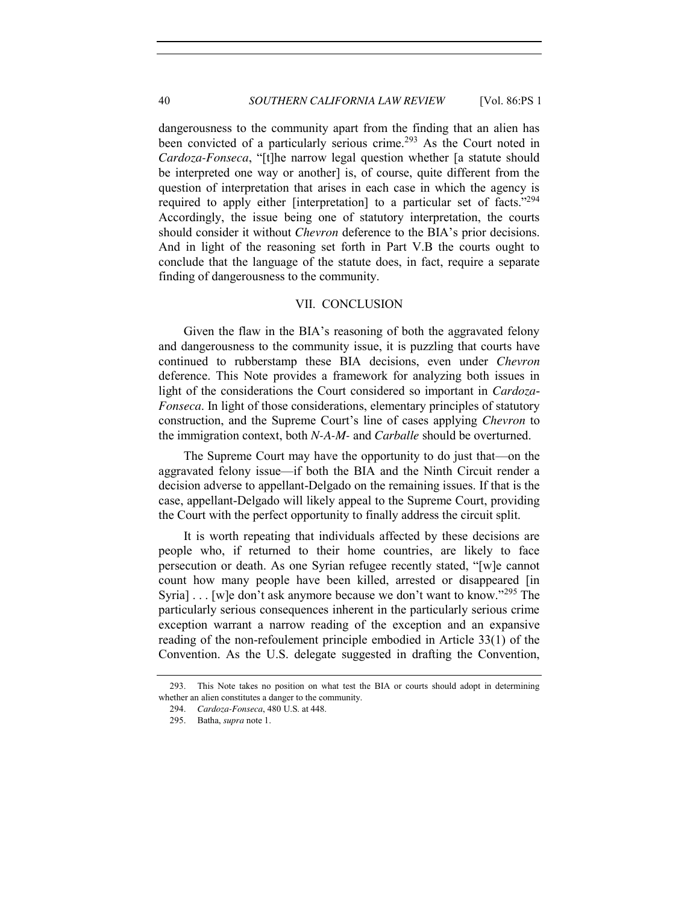dangerousness to the community apart from the finding that an alien has been convicted of a particularly serious crime.<sup>293</sup> As the Court noted in *Cardoza-Fonseca*, "[t]he narrow legal question whether [a statute should be interpreted one way or another] is, of course, quite different from the question of interpretation that arises in each case in which the agency is required to apply either [interpretation] to a particular set of facts."<sup>294</sup> Accordingly, the issue being one of statutory interpretation, the courts should consider it without *Chevron* deference to the BIA's prior decisions. And in light of the reasoning set forth in Part V.B the courts ought to conclude that the language of the statute does, in fact, require a separate finding of dangerousness to the community.

#### VII. CONCLUSION

<span id="page-39-0"></span>Given the flaw in the BIA's reasoning of both the aggravated felony and dangerousness to the community issue, it is puzzling that courts have continued to rubberstamp these BIA decisions, even under *Chevron* deference. This Note provides a framework for analyzing both issues in light of the considerations the Court considered so important in *Cardoza*-*Fonseca*. In light of those considerations, elementary principles of statutory construction, and the Supreme Court's line of cases applying *Chevron* to the immigration context, both *N-A-M-* and *Carballe* should be overturned.

The Supreme Court may have the opportunity to do just that—on the aggravated felony issue—if both the BIA and the Ninth Circuit render a decision adverse to appellant-Delgado on the remaining issues. If that is the case, appellant-Delgado will likely appeal to the Supreme Court, providing the Court with the perfect opportunity to finally address the circuit split.

It is worth repeating that individuals affected by these decisions are people who, if returned to their home countries, are likely to face persecution or death. As one Syrian refugee recently stated, "[w]e cannot count how many people have been killed, arrested or disappeared [in Syria] . . . [w]e don't ask anymore because we don't want to know."<sup>295</sup> The particularly serious consequences inherent in the particularly serious crime exception warrant a narrow reading of the exception and an expansive reading of the non-refoulement principle embodied in Article 33(1) of the Convention. As the U.S. delegate suggested in drafting the Convention,

<sup>293.</sup> This Note takes no position on what test the BIA or courts should adopt in determining whether an alien constitutes a danger to the community.

<sup>294.</sup> *Cardoza-Fonseca*, 480 U.S. at 448.

<sup>295.</sup> Batha, *supra* not[e 1.](#page-1-1)